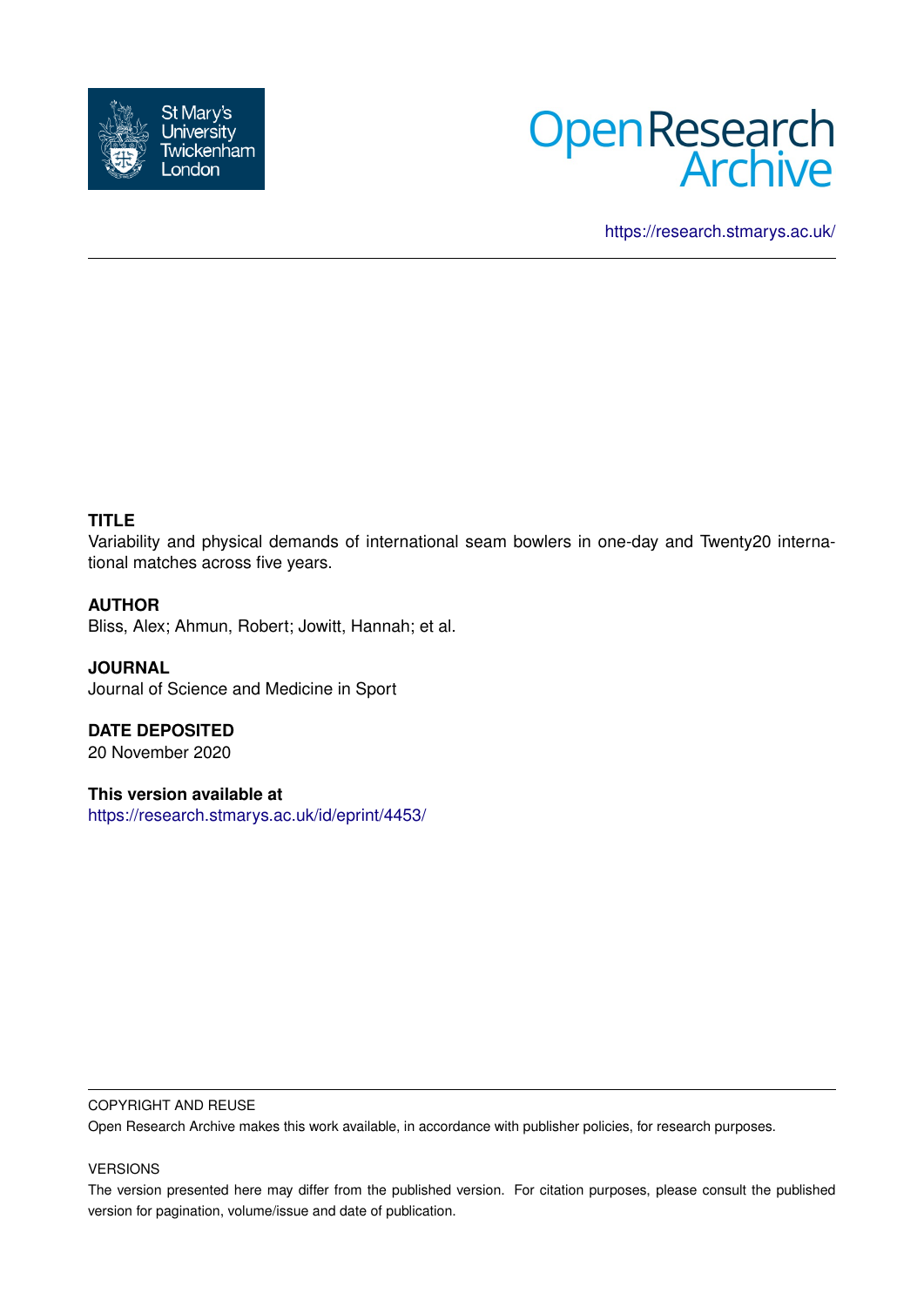



<https://research.stmarys.ac.uk/>

## **TITLE**

Variability and physical demands of international seam bowlers in one-day and Twenty20 international matches across five years.

### **AUTHOR**

Bliss, Alex; Ahmun, Robert; Jowitt, Hannah; et al.

**JOURNAL** Journal of Science and Medicine in Sport

**DATE DEPOSITED** 20 November 2020

**This version available at**

<https://research.stmarys.ac.uk/id/eprint/4453/>

#### COPYRIGHT AND REUSE

Open Research Archive makes this work available, in accordance with publisher policies, for research purposes.

#### VERSIONS

The version presented here may differ from the published version. For citation purposes, please consult the published version for pagination, volume/issue and date of publication.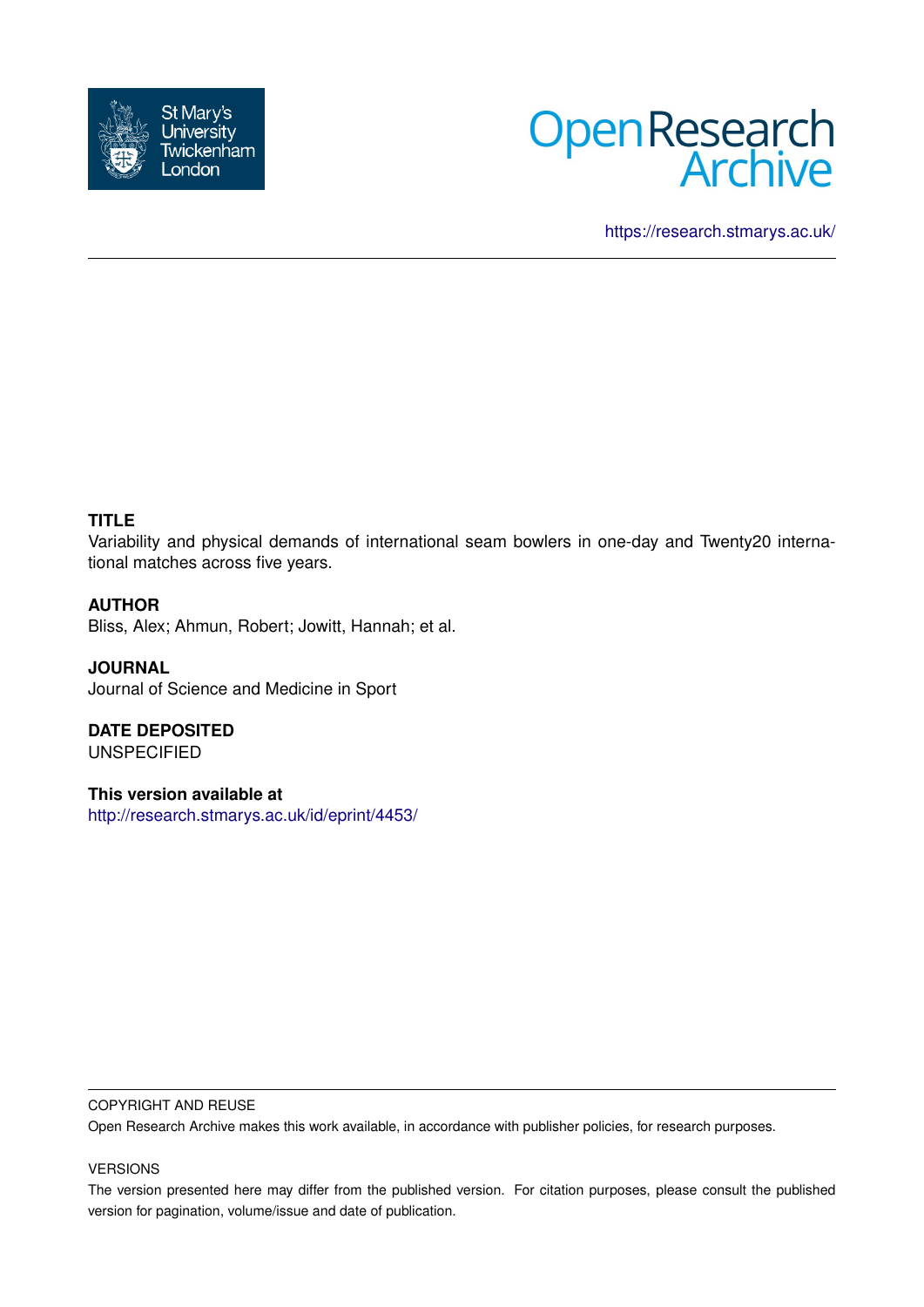



<https://research.stmarys.ac.uk/>

## **TITLE**

Variability and physical demands of international seam bowlers in one-day and Twenty20 international matches across five years.

### **AUTHOR**

Bliss, Alex; Ahmun, Robert; Jowitt, Hannah; et al.

**JOURNAL** Journal of Science and Medicine in Sport

**DATE DEPOSITED** UNSPECIFIED

**This version available at** <http://research.stmarys.ac.uk/id/eprint/4453/>

#### COPYRIGHT AND REUSE

Open Research Archive makes this work available, in accordance with publisher policies, for research purposes.

#### VERSIONS

The version presented here may differ from the published version. For citation purposes, please consult the published version for pagination, volume/issue and date of publication.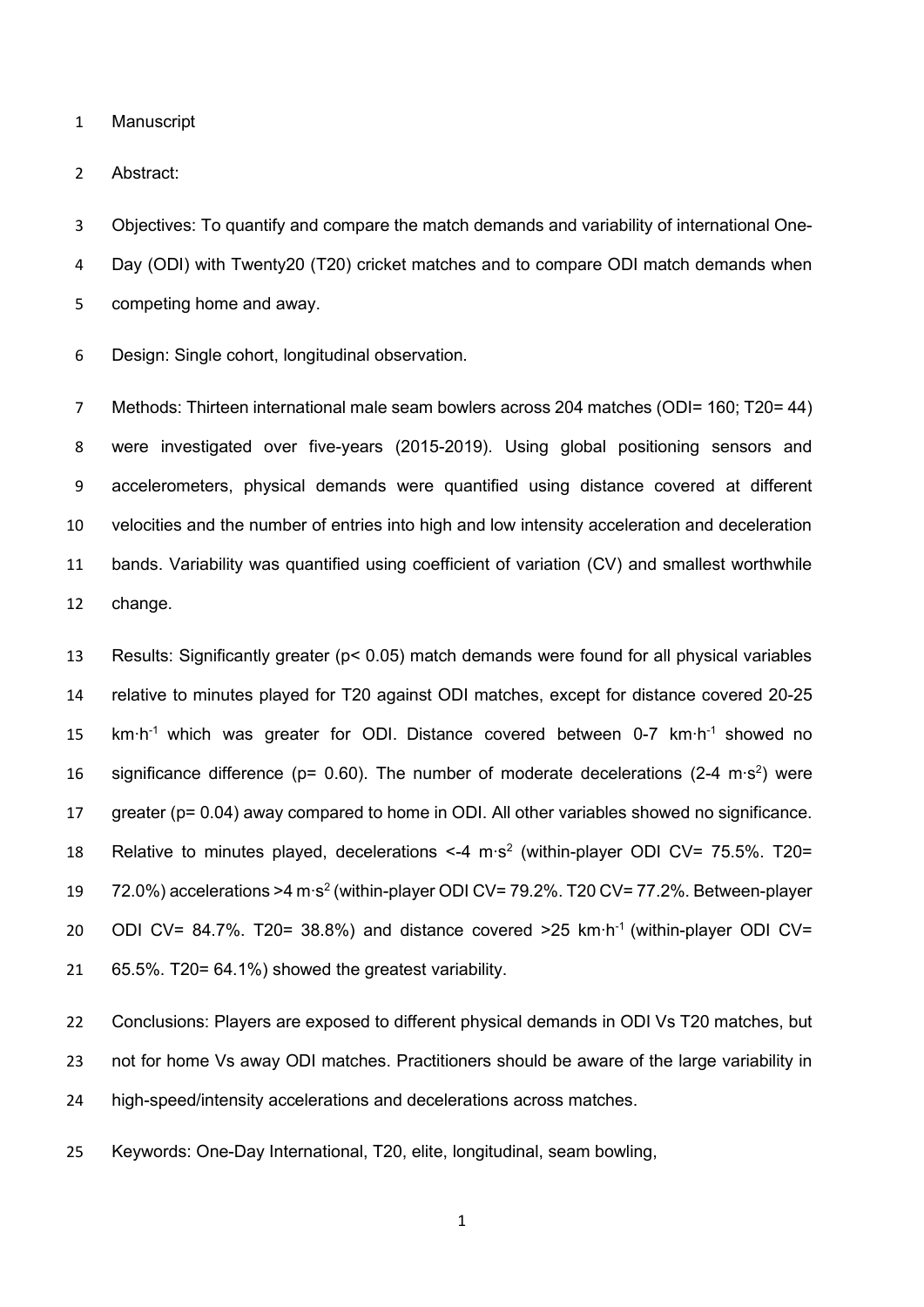Manuscript

Abstract:

 Objectives: To quantify and compare the match demands and variability of international One- Day (ODI) with Twenty20 (T20) cricket matches and to compare ODI match demands when competing home and away.

Design: Single cohort, longitudinal observation.

 Methods: Thirteen international male seam bowlers across 204 matches (ODI= 160; T20= 44) were investigated over five-years (2015-2019). Using global positioning sensors and accelerometers, physical demands were quantified using distance covered at different velocities and the number of entries into high and low intensity acceleration and deceleration bands. Variability was quantified using coefficient of variation (CV) and smallest worthwhile change.

 Results: Significantly greater (p< 0.05) match demands were found for all physical variables relative to minutes played for T20 against ODI matches, except for distance covered 20-25 15 km⋅h<sup>-1</sup> which was greater for ODI. Distance covered between 0-7 km⋅h<sup>-1</sup> showed no 16 significance difference (p= 0.60). The number of moderate decelerations (2-4 m⋅s<sup>2</sup>) were greater (p= 0.04) away compared to home in ODI. All other variables showed no significance. 18 Relative to minutes played, decelerations <-4 m⋅s<sup>2</sup> (within-player ODI CV= 75.5%. T20= 19 72.0%) accelerations >4 m⋅s<sup>2</sup> (within-player ODI CV= 79.2%. T20 CV= 77.2%. Between-player 20 ODI CV= 84.7%. T20= 38.8%) and distance covered >25 km⋅h<sup>-1</sup> (within-player ODI CV= 65.5%. T20= 64.1%) showed the greatest variability.

 Conclusions: Players are exposed to different physical demands in ODI Vs T20 matches, but 23 not for home Vs away ODI matches. Practitioners should be aware of the large variability in high-speed/intensity accelerations and decelerations across matches.

Keywords: One-Day International, T20, elite, longitudinal, seam bowling,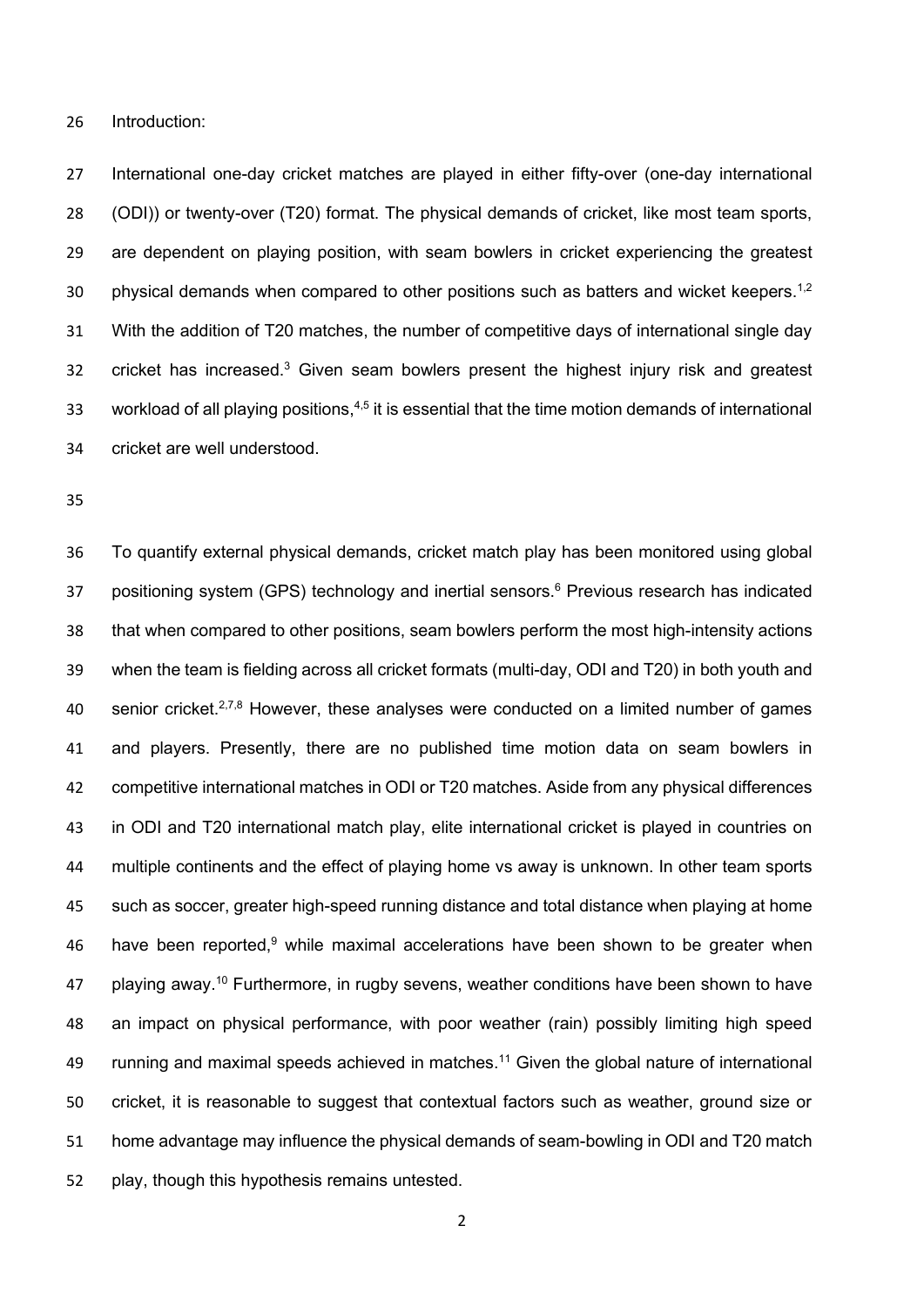Introduction:

 International one-day cricket matches are played in either fifty-over (one-day international (ODI)) or twenty-over (T20) format. The physical demands of cricket, like most team sports, are dependent on playing position, with seam bowlers in cricket experiencing the greatest 30 physical demands when compared to other positions such as batters and wicket keepers.<sup>1,2</sup> With the addition of T20 matches, the number of competitive days of international single day cricket has increased.<sup>3</sup> Given seam bowlers present the highest injury risk and greatest 33 workload of all playing positions,<sup>4,5</sup> it is essential that the time motion demands of international cricket are well understood.

 To quantify external physical demands, cricket match play has been monitored using global 37 positioning system (GPS) technology and inertial sensors.<sup>6</sup> Previous research has indicated that when compared to other positions, seam bowlers perform the most high-intensity actions when the team is fielding across all cricket formats (multi-day, ODI and T20) in both youth and 40 senior cricket.  $27,8$  However, these analyses were conducted on a limited number of games and players. Presently, there are no published time motion data on seam bowlers in competitive international matches in ODI or T20 matches. Aside from any physical differences in ODI and T20 international match play, elite international cricket is played in countries on 44 multiple continents and the effect of playing home vs away is unknown. In other team sports such as soccer, greater high-speed running distance and total distance when playing at home 46 have been reported, 9 while maximal accelerations have been shown to be greater when playing away.<sup>10</sup> Furthermore, in rugby sevens, weather conditions have been shown to have an impact on physical performance, with poor weather (rain) possibly limiting high speed 49 running and maximal speeds achieved in matches.<sup>11</sup> Given the global nature of international cricket, it is reasonable to suggest that contextual factors such as weather, ground size or home advantage may influence the physical demands of seam-bowling in ODI and T20 match play, though this hypothesis remains untested.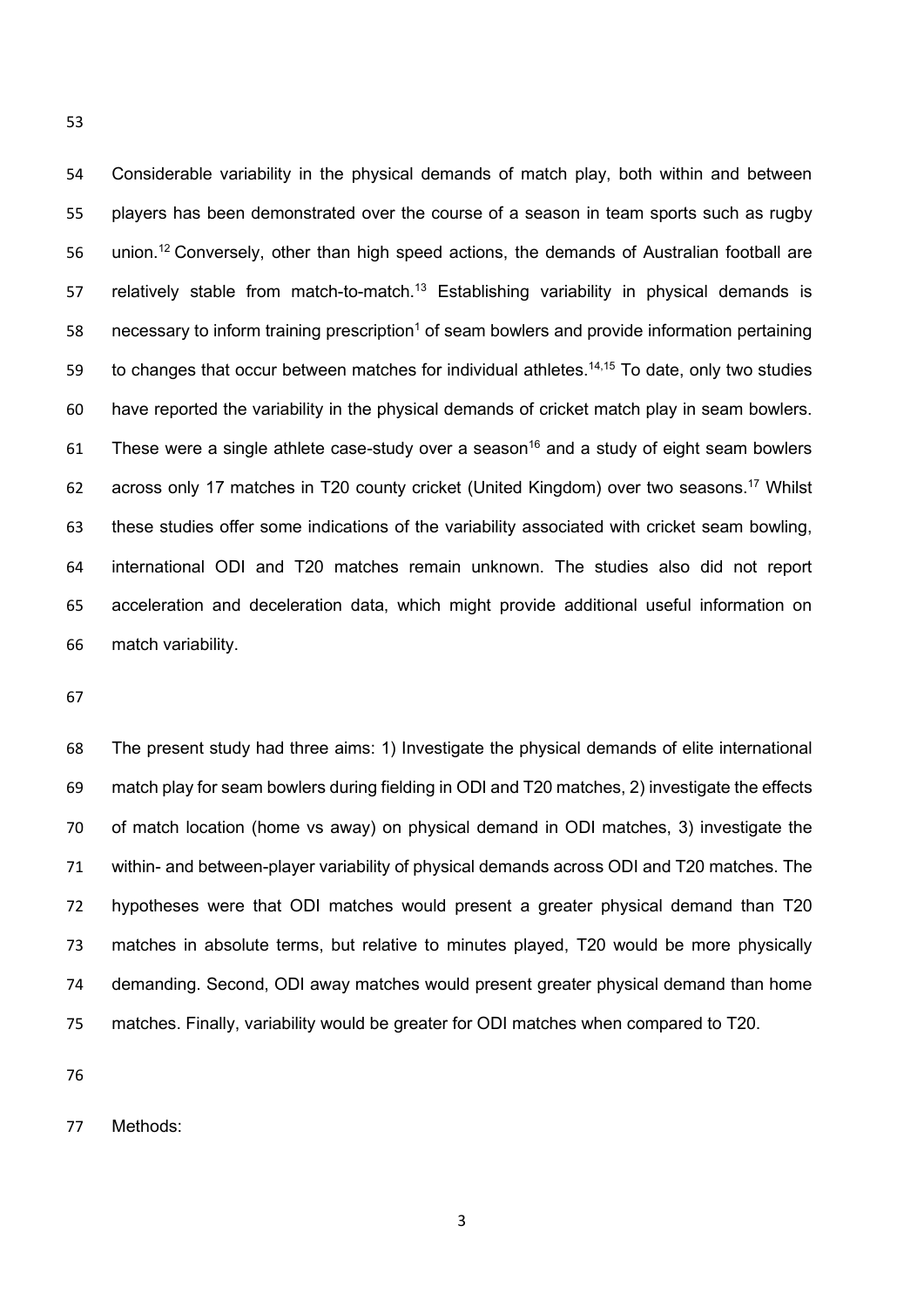Considerable variability in the physical demands of match play, both within and between players has been demonstrated over the course of a season in team sports such as rugby 56 union.<sup>12</sup> Conversely, other than high speed actions, the demands of Australian football are 57 relatively stable from match-to-match.<sup>13</sup> Establishing variability in physical demands is 58 necessary to inform training prescription<sup>1</sup> of seam bowlers and provide information pertaining to changes that occur between matches for individual athletes.<sup>14,15</sup> To date, only two studies have reported the variability in the physical demands of cricket match play in seam bowlers. 61 These were a single athlete case-study over a season<sup>16</sup> and a study of eight seam bowlers 62 across only 17 matches in T20 county cricket (United Kingdom) over two seasons.<sup>17</sup> Whilst these studies offer some indications of the variability associated with cricket seam bowling, international ODI and T20 matches remain unknown. The studies also did not report acceleration and deceleration data, which might provide additional useful information on match variability.

 The present study had three aims: 1) Investigate the physical demands of elite international match play for seam bowlers during fielding in ODI and T20 matches, 2) investigate the effects of match location (home vs away) on physical demand in ODI matches, 3) investigate the within- and between-player variability of physical demands across ODI and T20 matches. The hypotheses were that ODI matches would present a greater physical demand than T20 matches in absolute terms, but relative to minutes played, T20 would be more physically demanding. Second, ODI away matches would present greater physical demand than home matches. Finally, variability would be greater for ODI matches when compared to T20.

Methods: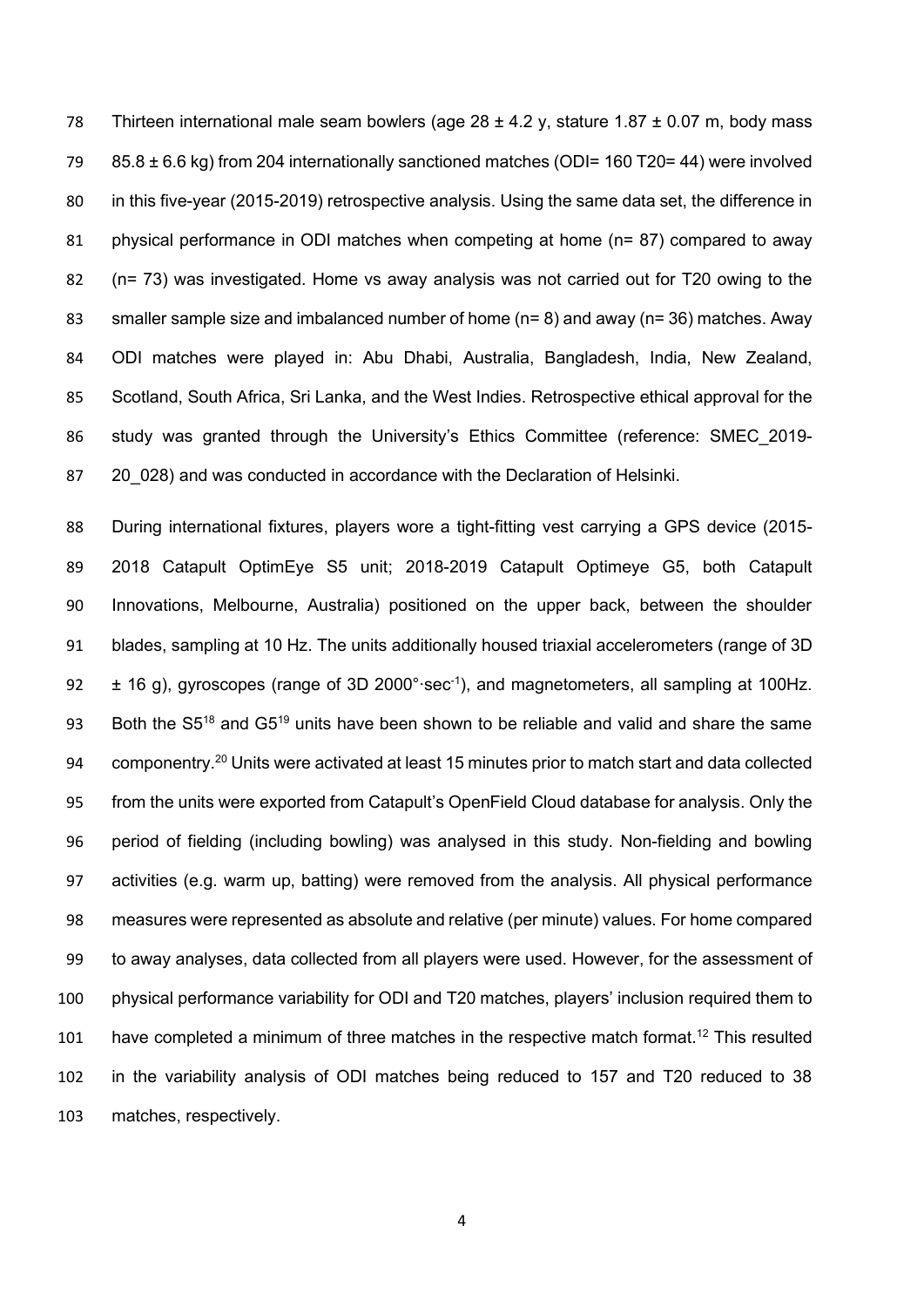78 Thirteen international male seam bowlers (age  $28 \pm 4.2$  y, stature 1.87  $\pm$  0.07 m, body mass 85.8 ± 6.6 kg) from 204 internationally sanctioned matches (ODI= 160 T20= 44) were involved in this five-year (2015-2019) retrospective analysis. Using the same data set, the difference in physical performance in ODI matches when competing at home (n= 87) compared to away (n= 73) was investigated. Home vs away analysis was not carried out for T20 owing to the smaller sample size and imbalanced number of home (n= 8) and away (n= 36) matches. Away ODI matches were played in: Abu Dhabi, Australia, Bangladesh, India, New Zealand, Scotland, South Africa, Sri Lanka, and the West Indies. Retrospective ethical approval for the study was granted through the University's Ethics Committee (reference: SMEC\_2019- 87 20 028) and was conducted in accordance with the Declaration of Helsinki.

 During international fixtures, players wore a tight-fitting vest carrying a GPS device (2015- 2018 Catapult OptimEye S5 unit; 2018-2019 Catapult Optimeye G5, both Catapult Innovations, Melbourne, Australia) positioned on the upper back, between the shoulder blades, sampling at 10 Hz. The units additionally housed triaxial accelerometers (range of 3D 92 ± 16 g), gyroscopes (range of 3D 2000°⋅sec<sup>-1</sup>), and magnetometers, all sampling at 100Hz. 93 Both the  $S5^{18}$  and  $G5^{19}$  units have been shown to be reliable and valid and share the same 94 componentry.<sup>20</sup> Units were activated at least 15 minutes prior to match start and data collected from the units were exported from Catapult's OpenField Cloud database for analysis. Only the period of fielding (including bowling) was analysed in this study. Non-fielding and bowling activities (e.g. warm up, batting) were removed from the analysis. All physical performance measures were represented as absolute and relative (per minute) values. For home compared to away analyses, data collected from all players were used. However, for the assessment of physical performance variability for ODI and T20 matches, players' inclusion required them to 101 have completed a minimum of three matches in the respective match format.<sup>12</sup> This resulted in the variability analysis of ODI matches being reduced to 157 and T20 reduced to 38 matches, respectively.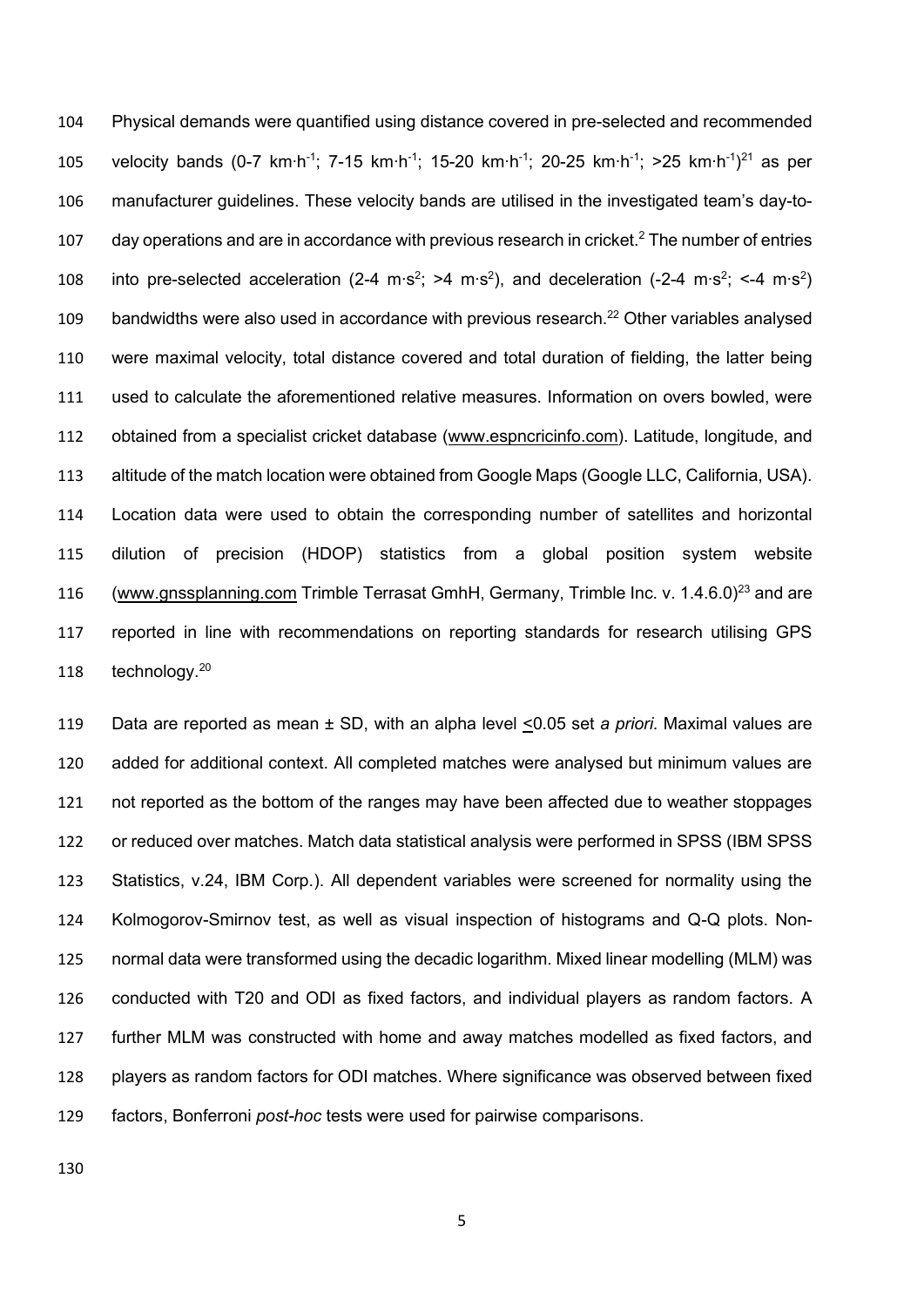Physical demands were quantified using distance covered in pre-selected and recommended 105 velocity bands (0-7 km⋅h<sup>-1</sup>; 7-15 km⋅h<sup>-1</sup>; 15-20 km⋅h<sup>-1</sup>; 20-25 km⋅h<sup>-1</sup>; >25 km⋅h<sup>-1</sup>)<sup>21</sup> as per manufacturer guidelines. These velocity bands are utilised in the investigated team's day-to-107 day operations and are in accordance with previous research in cricket.<sup>2</sup> The number of entries 108 into pre-selected acceleration (2-4 m⋅s<sup>2</sup>; >4 m⋅s<sup>2</sup>), and deceleration (-2-4 m⋅s<sup>2</sup>; <-4 m⋅s<sup>2</sup>) 109 bandwidths were also used in accordance with previous research.<sup>22</sup> Other variables analysed were maximal velocity, total distance covered and total duration of fielding, the latter being used to calculate the aforementioned relative measures. Information on overs bowled, were obtained from a specialist cricket database [\(www.espncricinfo.com\)](http://www.espncricinfo.com/). Latitude, longitude, and altitude of the match location were obtained from Google Maps (Google LLC, California, USA). Location data were used to obtain the corresponding number of satellites and horizontal dilution of precision (HDOP) statistics from a global position system website [\(www.gnssplanning.com](http://www.gnssplanning.com/) Trimble Terrasat GmhH, Germany, Trimble Inc. v. 1.4.6.0)<sup>23</sup> and are reported in line with recommendations on reporting standards for research utilising GPS 118 technology.<sup>20</sup>

 Data are reported as mean ± SD, with an alpha level <0.05 set *a priori*. Maximal values are added for additional context. All completed matches were analysed but minimum values are not reported as the bottom of the ranges may have been affected due to weather stoppages or reduced over matches. Match data statistical analysis were performed in SPSS (IBM SPSS Statistics, v.24, IBM Corp.). All dependent variables were screened for normality using the Kolmogorov-Smirnov test, as well as visual inspection of histograms and Q-Q plots. Non- normal data were transformed using the decadic logarithm. Mixed linear modelling (MLM) was conducted with T20 and ODI as fixed factors, and individual players as random factors. A further MLM was constructed with home and away matches modelled as fixed factors, and players as random factors for ODI matches. Where significance was observed between fixed factors, Bonferroni *post-hoc* tests were used for pairwise comparisons.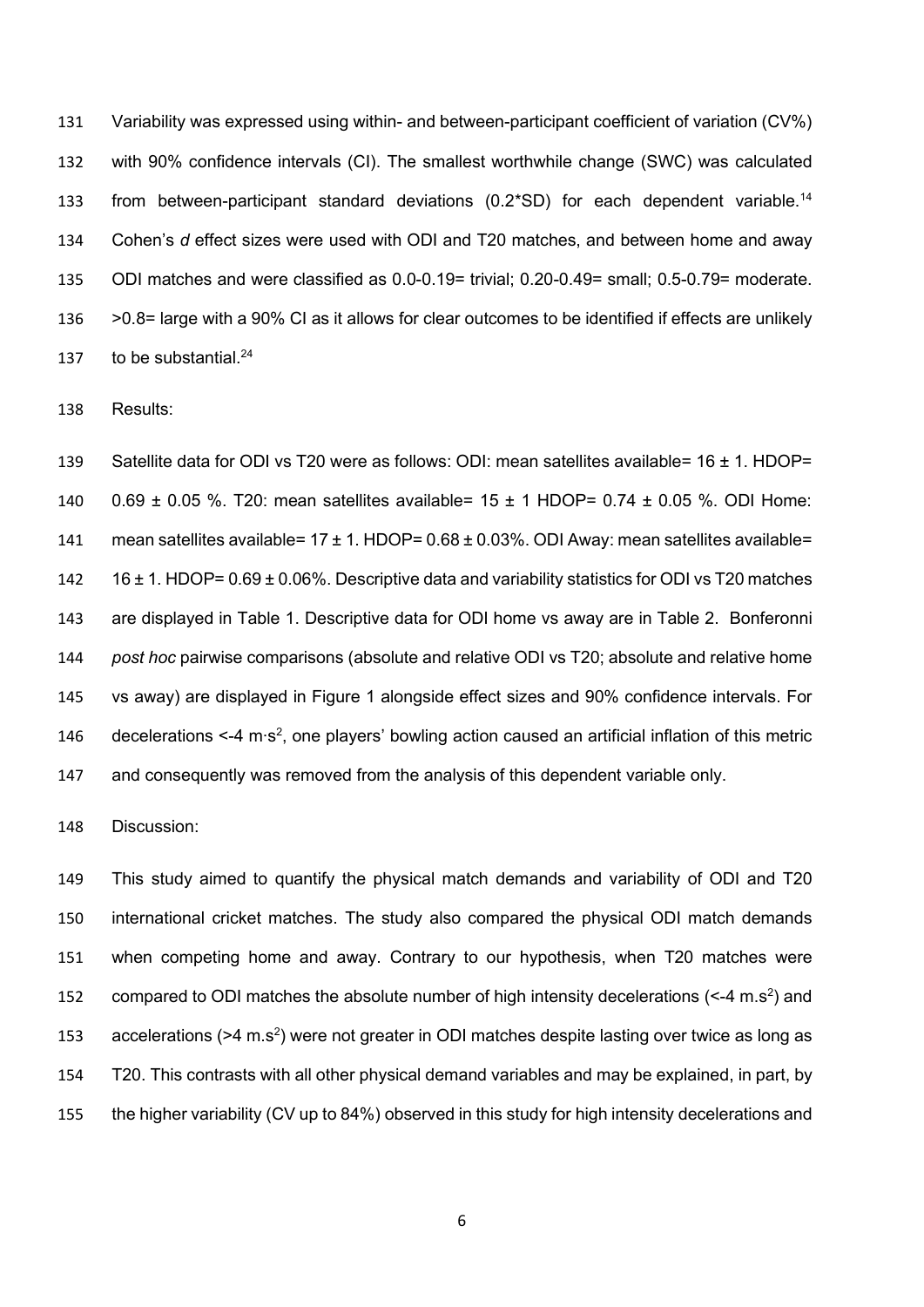Variability was expressed using within- and between-participant coefficient of variation (CV%) with 90% confidence intervals (CI). The smallest worthwhile change (SWC) was calculated 133 from between-participant standard deviations  $(0.2*SD)$  for each dependent variable.<sup>14</sup> Cohen's *d* effect sizes were used with ODI and T20 matches, and between home and away ODI matches and were classified as 0.0-0.19= trivial; 0.20-0.49= small; 0.5-0.79= moderate. >0.8= large with a 90% CI as it allows for clear outcomes to be identified if effects are unlikely 137 to be substantial. $^{24}$ 

Results:

 Satellite data for ODI vs T20 were as follows: ODI: mean satellites available= 16 ± 1. HDOP= 0.69 ± 0.05 %. T20: mean satellites available= 15 ± 1 HDOP= 0.74 ± 0.05 %. ODI Home: 141 mean satellites available=  $17 \pm 1$ . HDOP=  $0.68 \pm 0.03$ %. ODI Away: mean satellites available= 16 ± 1. HDOP= 0.69 ± 0.06%. Descriptive data and variability statistics for ODI vs T20 matches are displayed in Table 1. Descriptive data for ODI home vs away are in Table 2. Bonferonni *post hoc* pairwise comparisons (absolute and relative ODI vs T20; absolute and relative home vs away) are displayed in Figure 1 alongside effect sizes and 90% confidence intervals. For 146 decelerations <-4 m⋅s<sup>2</sup>, one players' bowling action caused an artificial inflation of this metric and consequently was removed from the analysis of this dependent variable only.

Discussion:

 This study aimed to quantify the physical match demands and variability of ODI and T20 international cricket matches. The study also compared the physical ODI match demands when competing home and away. Contrary to our hypothesis, when T20 matches were 152 compared to ODI matches the absolute number of high intensity decelerations ( $\leq$ -4 m.s<sup>2</sup>) and 153 accelerations ( $>4$  m.s<sup>2</sup>) were not greater in ODI matches despite lasting over twice as long as T20. This contrasts with all other physical demand variables and may be explained, in part, by the higher variability (CV up to 84%) observed in this study for high intensity decelerations and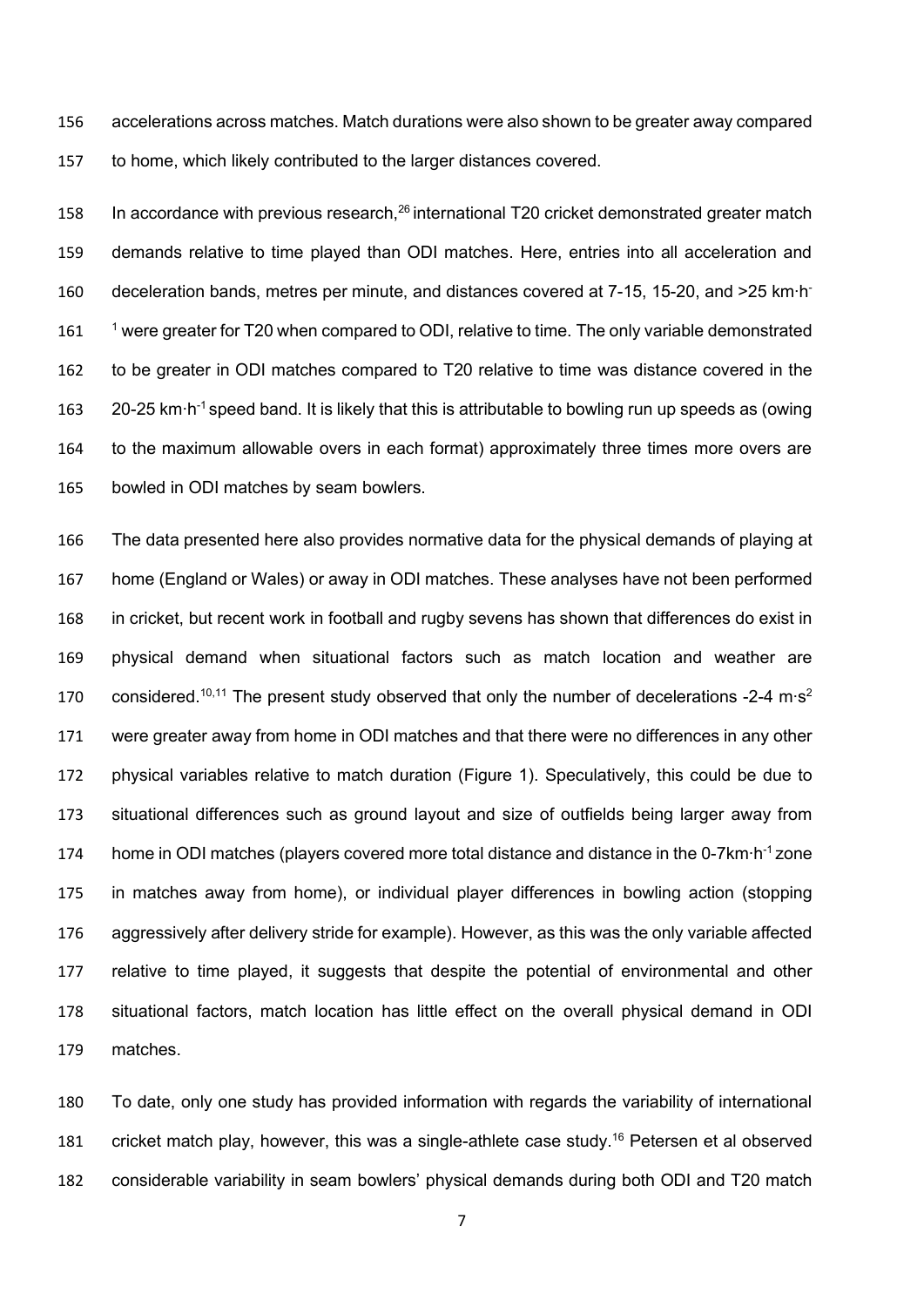accelerations across matches. Match durations were also shown to be greater away compared to home, which likely contributed to the larger distances covered.

158 In accordance with previous research, international T20 cricket demonstrated greater match demands relative to time played than ODI matches. Here, entries into all acceleration and 160 deceleration bands, metres per minute, and distances covered at 7-15, 15-20, and >25 km⋅h<sup>-</sup> 161 <sup>1</sup> were greater for T20 when compared to ODI, relative to time. The only variable demonstrated to be greater in ODI matches compared to T20 relative to time was distance covered in the 163 20-25 km⋅h<sup>-1</sup> speed band. It is likely that this is attributable to bowling run up speeds as (owing to the maximum allowable overs in each format) approximately three times more overs are bowled in ODI matches by seam bowlers.

 The data presented here also provides normative data for the physical demands of playing at home (England or Wales) or away in ODI matches. These analyses have not been performed in cricket, but recent work in football and rugby sevens has shown that differences do exist in physical demand when situational factors such as match location and weather are 170 considered.<sup>10,11</sup> The present study observed that only the number of decelerations -2-4 m⋅s<sup>2</sup> were greater away from home in ODI matches and that there were no differences in any other physical variables relative to match duration (Figure 1). Speculatively, this could be due to situational differences such as ground layout and size of outfields being larger away from 174 home in ODI matches (players covered more total distance and distance in the 0-7km⋅h<sup>-1</sup> zone in matches away from home), or individual player differences in bowling action (stopping aggressively after delivery stride for example). However, as this was the only variable affected relative to time played, it suggests that despite the potential of environmental and other situational factors, match location has little effect on the overall physical demand in ODI matches.

 To date, only one study has provided information with regards the variability of international 181 cricket match play, however, this was a single-athlete case study.<sup>16</sup> Petersen et al observed considerable variability in seam bowlers' physical demands during both ODI and T20 match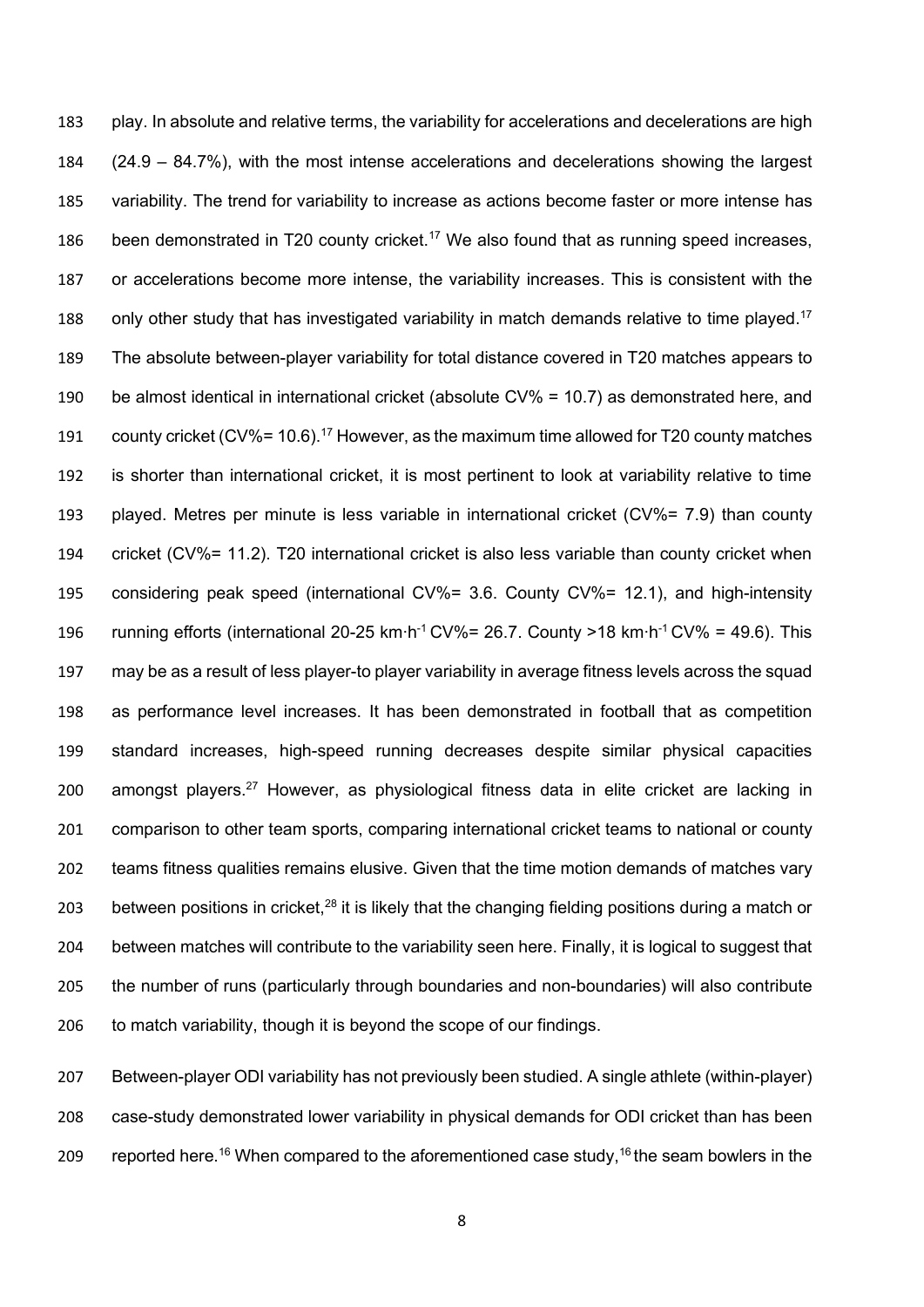play. In absolute and relative terms, the variability for accelerations and decelerations are high (24.9 – 84.7%), with the most intense accelerations and decelerations showing the largest variability. The trend for variability to increase as actions become faster or more intense has 186 been demonstrated in T20 county cricket.<sup>17</sup> We also found that as running speed increases, or accelerations become more intense, the variability increases. This is consistent with the 188 only other study that has investigated variability in match demands relative to time played.<sup>17</sup> The absolute between-player variability for total distance covered in T20 matches appears to be almost identical in international cricket (absolute CV% = 10.7) as demonstrated here, and 191 county cricket (CV%= 10.6).<sup>17</sup> However, as the maximum time allowed for T20 county matches is shorter than international cricket, it is most pertinent to look at variability relative to time played. Metres per minute is less variable in international cricket (CV%= 7.9) than county cricket (CV%= 11.2). T20 international cricket is also less variable than county cricket when considering peak speed (international CV%= 3.6. County CV%= 12.1), and high-intensity 196 running efforts (international 20-25 km⋅h<sup>-1</sup> CV%= 26.7. County >18 km⋅h<sup>-1</sup> CV% = 49.6). This may be as a result of less player-to player variability in average fitness levels across the squad as performance level increases. It has been demonstrated in football that as competition standard increases, high-speed running decreases despite similar physical capacities 200 amongst players.<sup>27</sup> However, as physiological fitness data in elite cricket are lacking in comparison to other team sports, comparing international cricket teams to national or county teams fitness qualities remains elusive. Given that the time motion demands of matches vary 203 between positions in cricket, $^{28}$  it is likely that the changing fielding positions during a match or between matches will contribute to the variability seen here. Finally, it is logical to suggest that the number of runs (particularly through boundaries and non-boundaries) will also contribute to match variability, though it is beyond the scope of our findings.

 Between-player ODI variability has not previously been studied. A single athlete (within-player) case-study demonstrated lower variability in physical demands for ODI cricket than has been 209 reported here.<sup>16</sup> When compared to the aforementioned case study,<sup>16</sup> the seam bowlers in the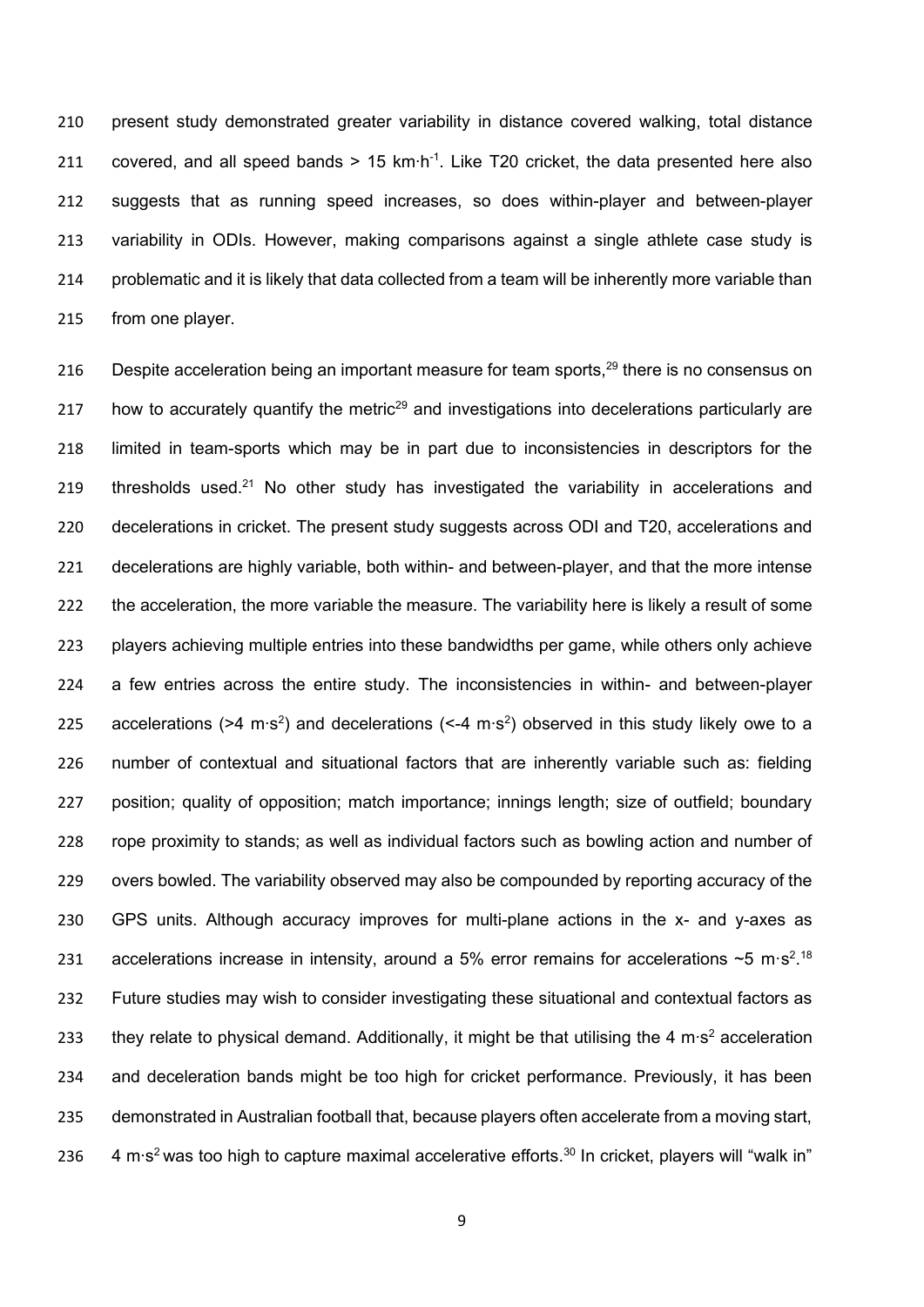present study demonstrated greater variability in distance covered walking, total distance 211 covered, and all speed bands > 15 km⋅h<sup>-1</sup>. Like T20 cricket, the data presented here also suggests that as running speed increases, so does within-player and between-player variability in ODIs. However, making comparisons against a single athlete case study is problematic and it is likely that data collected from a team will be inherently more variable than from one player.

216 Despite acceleration being an important measure for team sports, there is no consensus on 217 how to accurately quantify the metric<sup>29</sup> and investigations into decelerations particularly are limited in team-sports which may be in part due to inconsistencies in descriptors for the 219 thresholds used.<sup>21</sup> No other study has investigated the variability in accelerations and decelerations in cricket. The present study suggests across ODI and T20, accelerations and decelerations are highly variable, both within- and between-player, and that the more intense the acceleration, the more variable the measure. The variability here is likely a result of some players achieving multiple entries into these bandwidths per game, while others only achieve a few entries across the entire study. The inconsistencies in within- and between-player 225 accelerations (>4 m⋅s<sup>2</sup>) and decelerations (<-4 m⋅s<sup>2</sup>) observed in this study likely owe to a number of contextual and situational factors that are inherently variable such as: fielding position; quality of opposition; match importance; innings length; size of outfield; boundary rope proximity to stands; as well as individual factors such as bowling action and number of overs bowled. The variability observed may also be compounded by reporting accuracy of the GPS units. Although accuracy improves for multi-plane actions in the x- and y-axes as 231 accelerations increase in intensity, around a 5% error remains for accelerations ~5 m·s<sup>2</sup>.<sup>18</sup> Future studies may wish to consider investigating these situational and contextual factors as 133 they relate to physical demand. Additionally, it might be that utilising the 4 m⋅s<sup>2</sup> acceleration and deceleration bands might be too high for cricket performance. Previously, it has been demonstrated in Australian football that, because players often accelerate from a moving start, 236 4 m⋅s<sup>2</sup> was too high to capture maximal accelerative efforts.<sup>30</sup> In cricket, players will "walk in"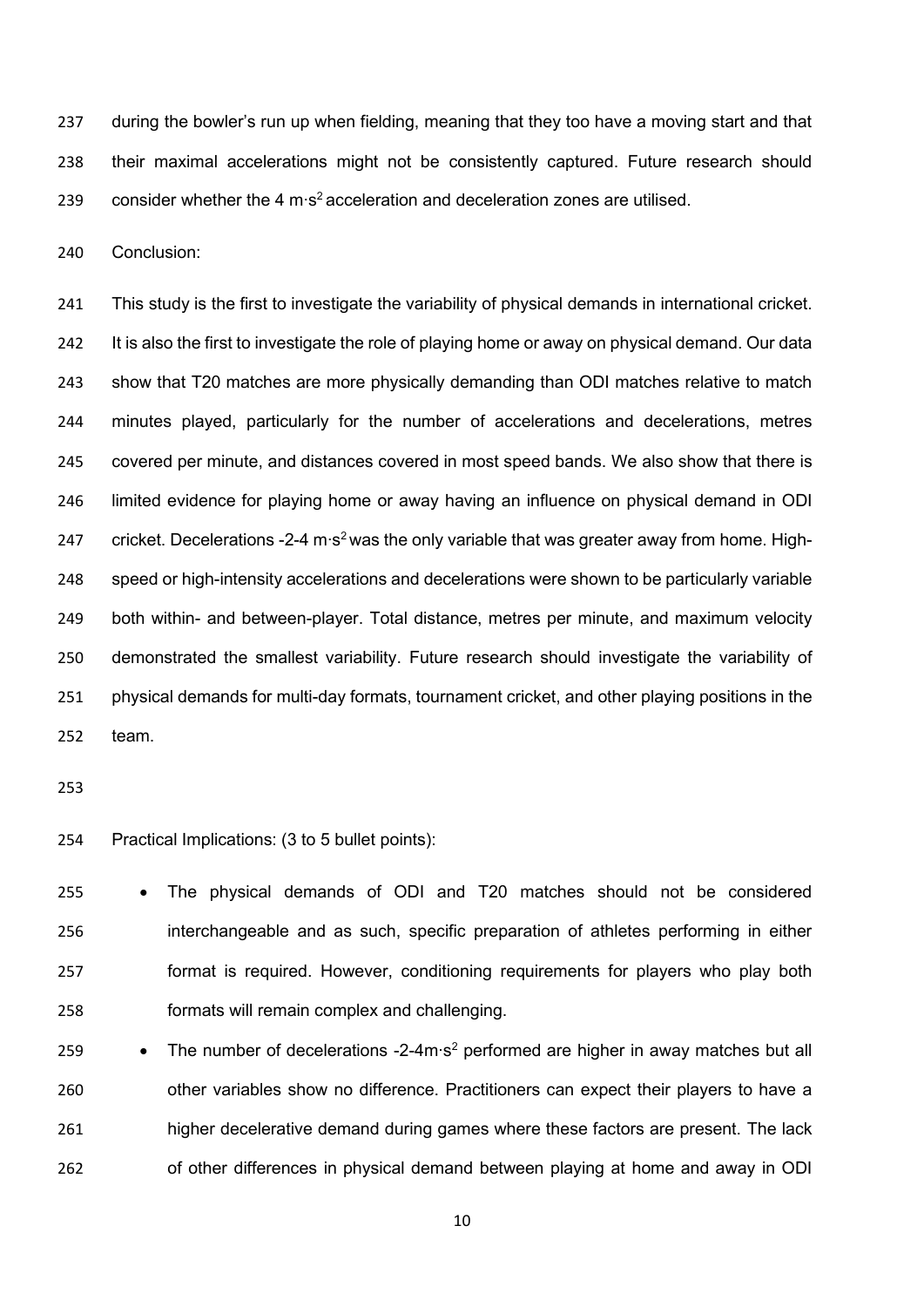during the bowler's run up when fielding, meaning that they too have a moving start and that their maximal accelerations might not be consistently captured. Future research should 239 consider whether the 4 m⋅s<sup>2</sup> acceleration and deceleration zones are utilised.

Conclusion:

 This study is the first to investigate the variability of physical demands in international cricket. It is also the first to investigate the role of playing home or away on physical demand. Our data show that T20 matches are more physically demanding than ODI matches relative to match minutes played, particularly for the number of accelerations and decelerations, metres covered per minute, and distances covered in most speed bands. We also show that there is limited evidence for playing home or away having an influence on physical demand in ODI 247 cricket. Decelerations -2-4 m⋅s<sup>2</sup> was the only variable that was greater away from home. High- speed or high-intensity accelerations and decelerations were shown to be particularly variable both within- and between-player. Total distance, metres per minute, and maximum velocity demonstrated the smallest variability. Future research should investigate the variability of physical demands for multi-day formats, tournament cricket, and other playing positions in the team.

Practical Implications: (3 to 5 bullet points):

 • The physical demands of ODI and T20 matches should not be considered interchangeable and as such, specific preparation of athletes performing in either format is required. However, conditioning requirements for players who play both formats will remain complex and challenging.

• The number of decelerations -2-4m∙s<sup>2</sup> performed are higher in away matches but all other variables show no difference. Practitioners can expect their players to have a higher decelerative demand during games where these factors are present. The lack of other differences in physical demand between playing at home and away in ODI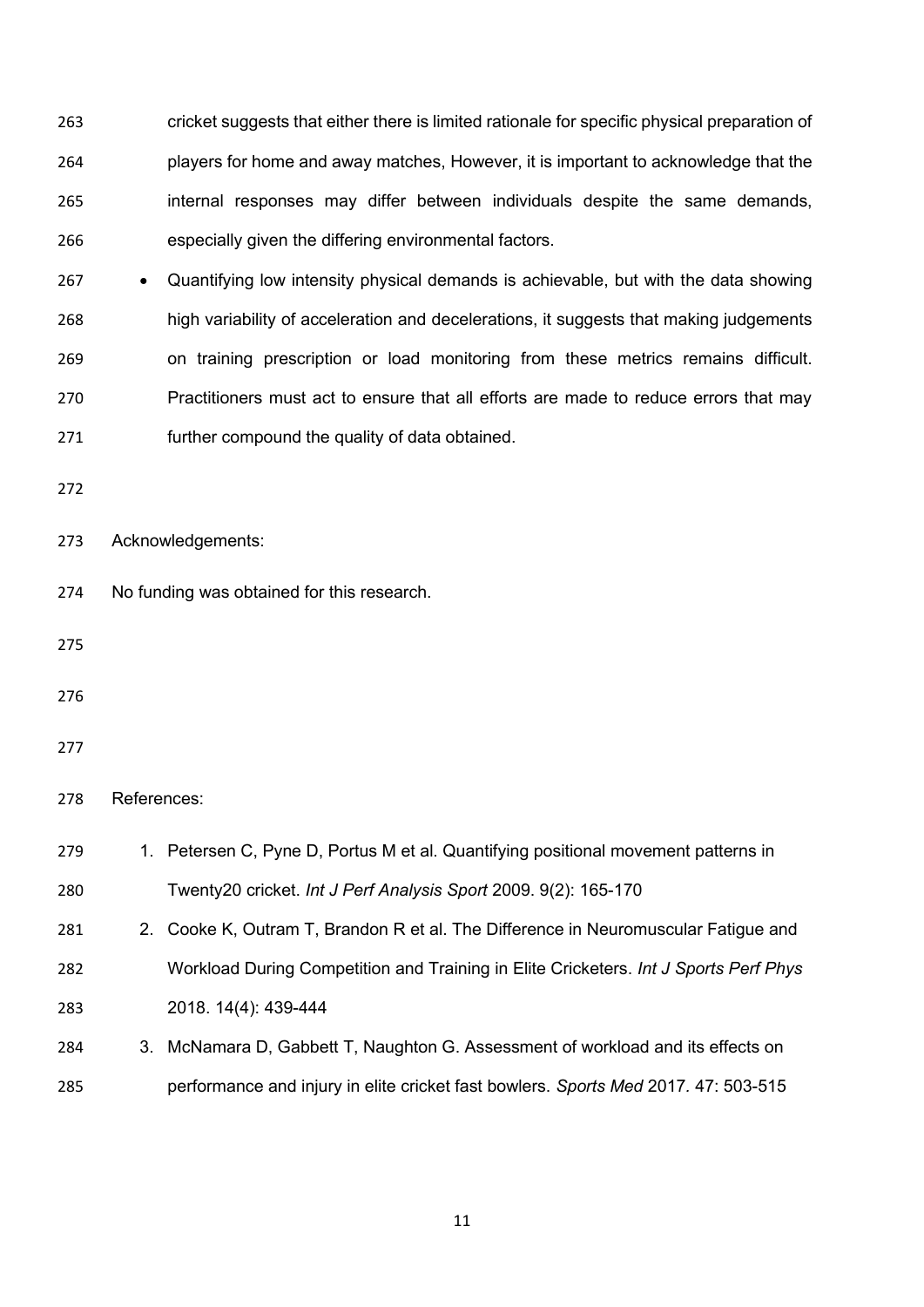cricket suggests that either there is limited rationale for specific physical preparation of players for home and away matches, However, it is important to acknowledge that the internal responses may differ between individuals despite the same demands, especially given the differing environmental factors.

 • Quantifying low intensity physical demands is achievable, but with the data showing high variability of acceleration and decelerations, it suggests that making judgements on training prescription or load monitoring from these metrics remains difficult. Practitioners must act to ensure that all efforts are made to reduce errors that may further compound the quality of data obtained.

Acknowledgements:

- No funding was obtained for this research.
- 
- 
- 

#### References:

| 279 | 1. Petersen C, Pyne D, Portus M et al. Quantifying positional movement patterns in |
|-----|------------------------------------------------------------------------------------|
| 280 | Twenty20 cricket. Int J Perf Analysis Sport 2009. 9(2): 165-170                    |
| 281 | 2. Cooke K, Outram T, Brandon R et al. The Difference in Neuromuscular Fatigue and |

 Workload During Competition and Training in Elite Cricketers. *Int J Sports Perf Phys*  2018. 14(4): 439-444

 3. McNamara D, Gabbett T, Naughton G. Assessment of workload and its effects on performance and injury in elite cricket fast bowlers. *Sports Med* 2017*.* 47: 503-515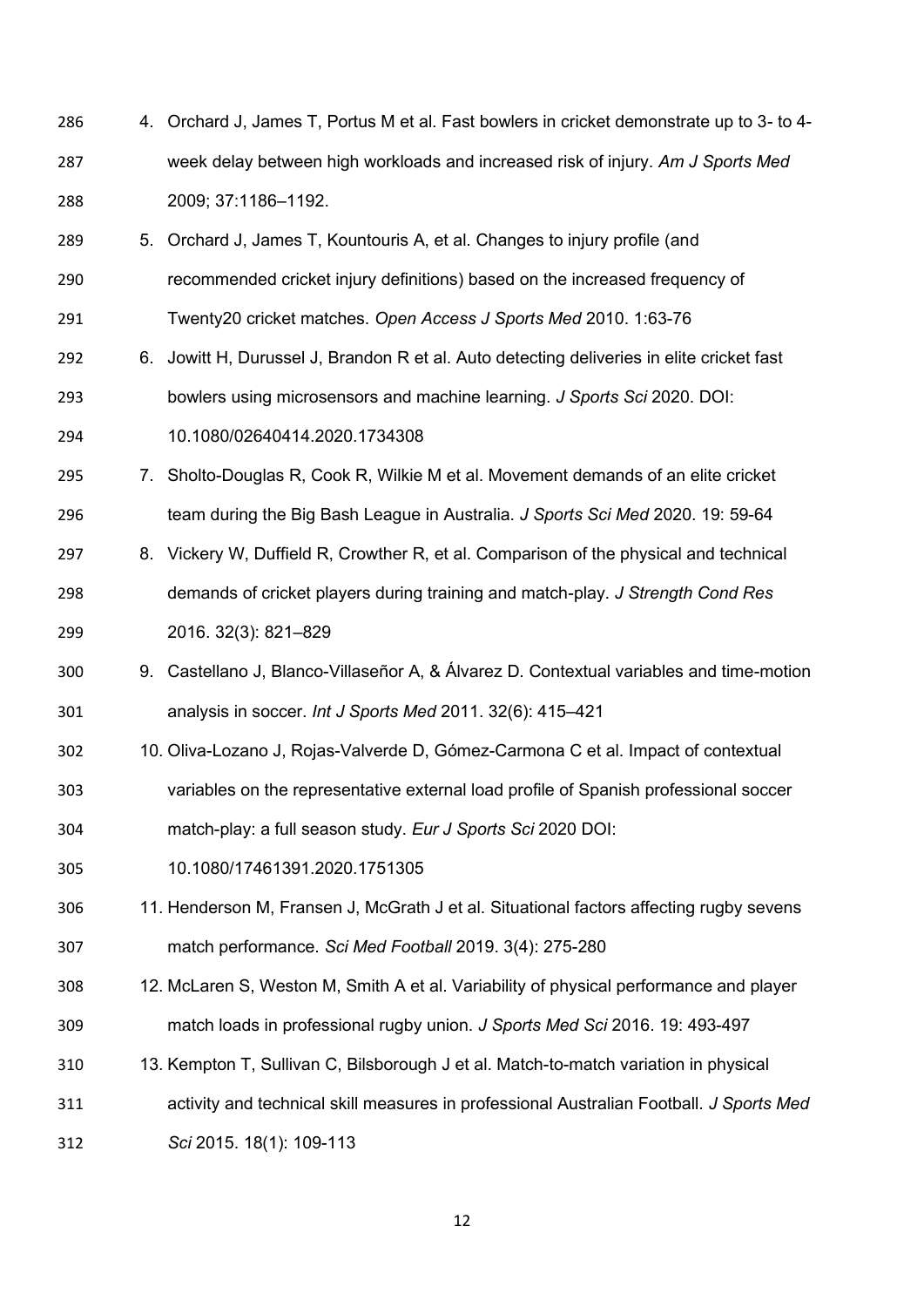- 4. Orchard J, James T, Portus M et al. Fast bowlers in cricket demonstrate up to 3- to 4- week delay between high workloads and increased risk of injury. *Am J Sports Med*  2009; 37:1186–1192.
- 5. Orchard J, James T, Kountouris A, et al. Changes to injury profile (and recommended cricket injury definitions) based on the increased frequency of
- Twenty20 cricket matches. *Open Access J Sports Med* 2010. 1:63-76
- 6. Jowitt H, Durussel J, Brandon R et al. Auto detecting deliveries in elite cricket fast bowlers using microsensors and machine learning. *J Sports Sci* 2020. DOI:
- 10.1080/02640414.2020.1734308
- 7. Sholto-Douglas R, Cook R, Wilkie M et al. Movement demands of an elite cricket team during the Big Bash League in Australia. *J Sports Sci Med* 2020. 19: 59-64
- 8. Vickery W, Duffield R, Crowther R, et al. Comparison of the physical and technical demands of cricket players during training and match-play. *J Strength Cond Res* 2016. 32(3): 821–829
- 9. Castellano J, Blanco-Villaseñor A, & Álvarez D. Contextual variables and time-motion analysis in soccer. *Int J Sports Med* 2011. 32(6): 415–421
- 10. Oliva-Lozano J, Rojas-Valverde D, Gómez-Carmona C et al. Impact of contextual variables on the representative external load profile of Spanish professional soccer match-play: a full season study. *Eur J Sports Sci* 2020 DOI:
- 10.1080/17461391.2020.1751305
- 11. Henderson M, Fransen J, McGrath J et al. Situational factors affecting rugby sevens match performance. *Sci Med Football* 2019. 3(4): 275-280
- 12. McLaren S, Weston M, Smith A et al. Variability of physical performance and player match loads in professional rugby union. *J Sports Med Sci* 2016. 19: 493-497
- 13. Kempton T, Sullivan C, Bilsborough J et al. Match-to-match variation in physical
- activity and technical skill measures in professional Australian Football. *J Sports Med*
- *Sci* 2015. 18(1): 109-113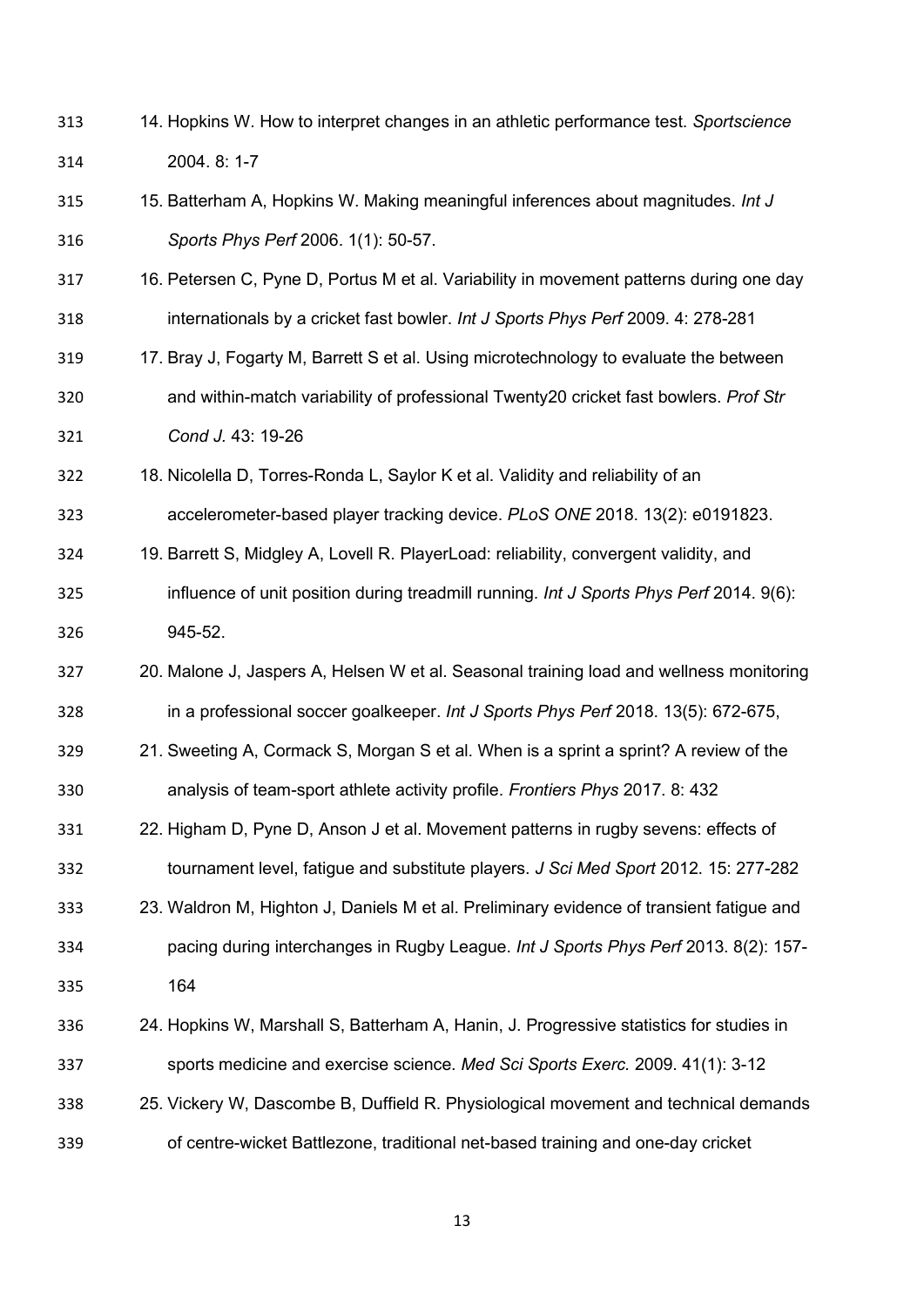- 14. Hopkins W. How to interpret changes in an athletic performance test. *Sportscience*  2004. 8: 1-7
- 15. Batterham A, Hopkins W. Making meaningful inferences about magnitudes. *Int J Sports Phys Perf* 2006. 1(1): 50-57.
- 16. Petersen C, Pyne D, Portus M et al. Variability in movement patterns during one day internationals by a cricket fast bowler. *Int J Sports Phys Perf* 2009. 4: 278-281
- 17. Bray J, Fogarty M, Barrett S et al. Using microtechnology to evaluate the between and within-match variability of professional Twenty20 cricket fast bowlers. *Prof Str Cond J.* 43: 19-26
- 18. Nicolella D, Torres-Ronda L, Saylor K et al. Validity and reliability of an accelerometer-based player tracking device. *PLoS ONE* 2018. 13(2): e0191823.
- 19. Barrett S, Midgley A, Lovell R. PlayerLoad: reliability, convergent validity, and influence of unit position during treadmill running. *Int J Sports Phys Perf* 2014. 9(6): 945-52.
- 20. Malone J, Jaspers A, Helsen W et al. Seasonal training load and wellness monitoring in a professional soccer goalkeeper. *Int J Sports Phys Perf* 2018. 13(5): 672-675,
- 21. Sweeting A, Cormack S, Morgan S et al. When is a sprint a sprint? A review of the analysis of team-sport athlete activity profile. *Frontiers Phys* 2017. 8: 432
- 22. Higham D, Pyne D, Anson J et al. Movement patterns in rugby sevens: effects of tournament level, fatigue and substitute players. *J Sci Med Sport* 2012. 15: 277-282
- 23. Waldron M, Highton J, Daniels M et al. Preliminary evidence of transient fatigue and pacing during interchanges in Rugby League. *Int J Sports Phys Perf* 2013. 8(2): 157- 164
- 
- 24. Hopkins W, Marshall S, Batterham A, Hanin, J. Progressive statistics for studies in sports medicine and exercise science. *Med Sci Sports Exerc.* 2009. 41(1): 3-12
- 25. Vickery W, Dascombe B, Duffield R. Physiological movement and technical demands of centre-wicket Battlezone, traditional net-based training and one-day cricket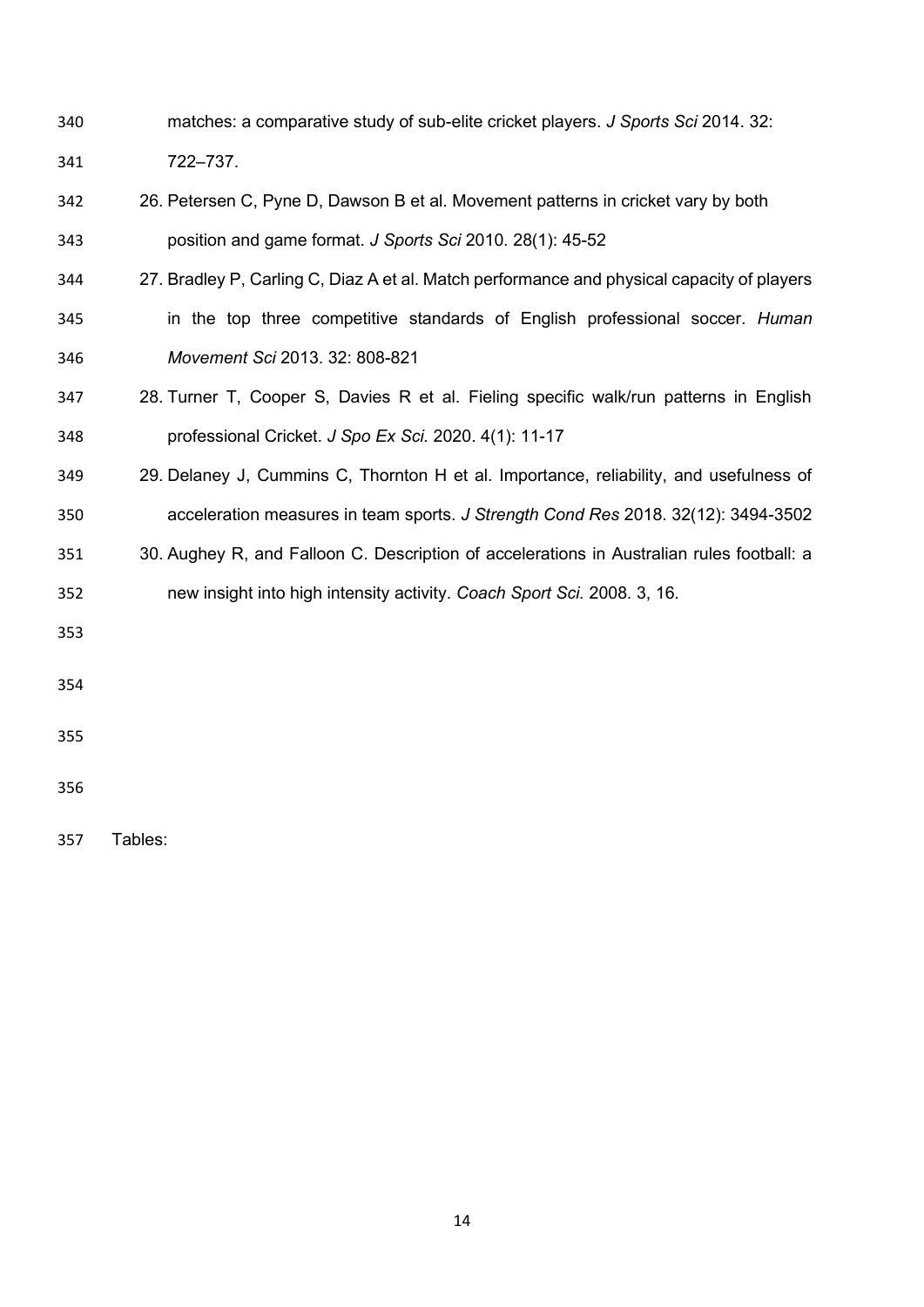- matches: a comparative study of sub-elite cricket players. *J Sports Sci* 2014. 32: 722–737.
- 26. Petersen C, Pyne D, Dawson B et al. Movement patterns in cricket vary by both position and game format. *J Sports Sci* 2010. 28(1): 45-52
- 27. Bradley P, Carling C, Diaz A et al. Match performance and physical capacity of players
- in the top three competitive standards of English professional soccer. *Human Movement Sci* 2013. 32: 808-821
- 28. Turner T, Cooper S, Davies R et al. Fieling specific walk/run patterns in English professional Cricket. *J Spo Ex Sci.* 2020. 4(1): 11-17
- 29. Delaney J, Cummins C, Thornton H et al. Importance, reliability, and usefulness of acceleration measures in team sports. *J Strength Cond Res* 2018. 32(12): 3494-3502
- 30. Aughey R, and Falloon C. Description of accelerations in Australian rules football: a new insight into high intensity activity. *Coach Sport Sci.* 2008. 3, 16.
- 
- 
- 
- 

Tables: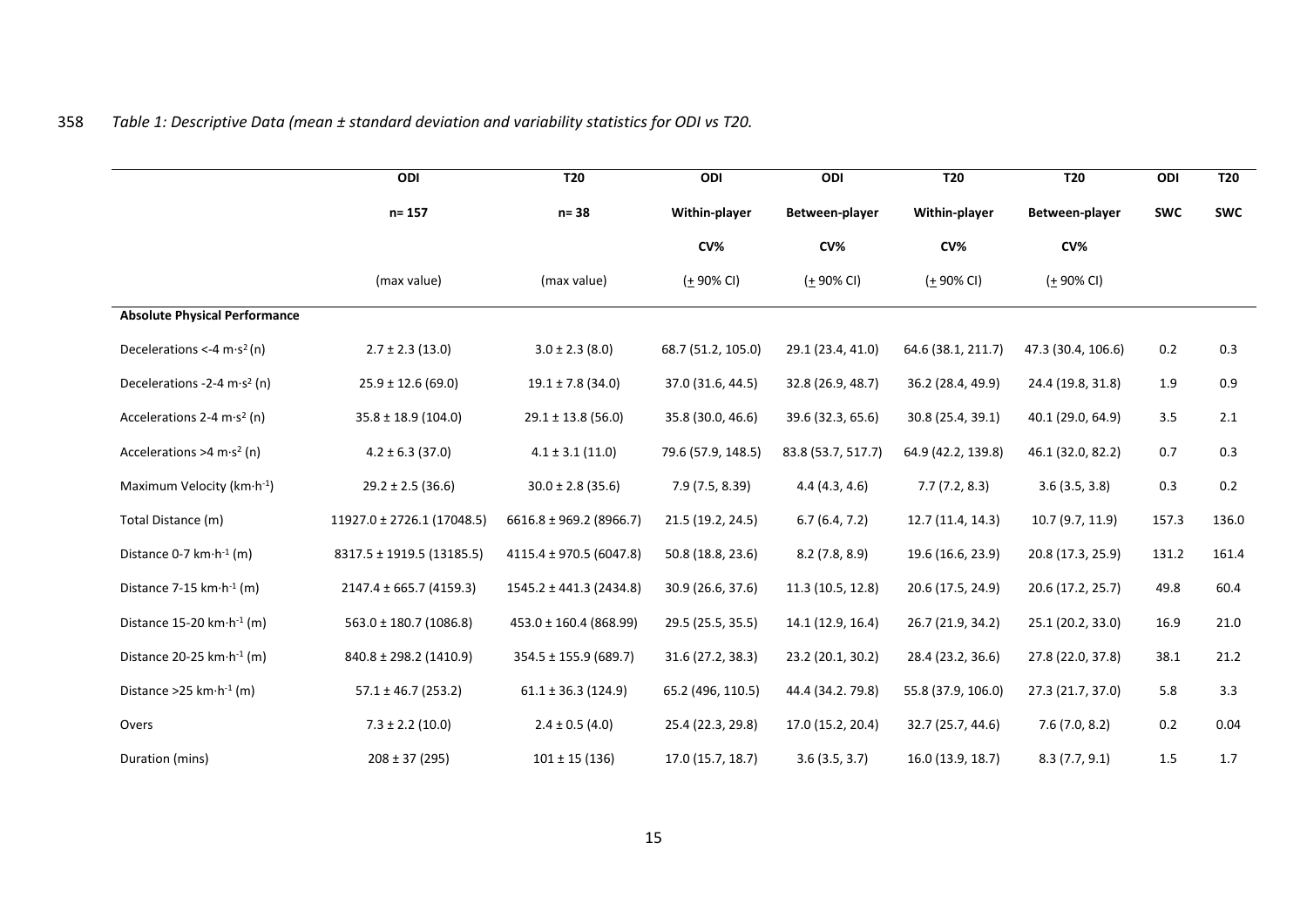# 358 *Table 1: Descriptive Data (mean ± standard deviation and variability statistics for ODI vs T20.*

|                                                | ODI                         | <b>T20</b>                  | ODI                   | ODI                | <b>T20</b>            | <b>T20</b>         | ODI        | <b>T20</b> |
|------------------------------------------------|-----------------------------|-----------------------------|-----------------------|--------------------|-----------------------|--------------------|------------|------------|
|                                                | $n = 157$                   | $n = 38$                    | Within-player         | Between-player     | Within-player         | Between-player     | <b>SWC</b> | <b>SWC</b> |
|                                                |                             |                             | CV <sub>6</sub>       | CV <sub>6</sub>    | CV%                   | CV%                |            |            |
|                                                | (max value)                 | (max value)                 | $(1.90\% \text{ CI})$ | ( <u>+</u> 90% CI) | $(1.90\% \text{ CI})$ | $(± 90\% CI)$      |            |            |
| <b>Absolute Physical Performance</b>           |                             |                             |                       |                    |                       |                    |            |            |
| Decelerations <-4 $m·s2 (n)$                   | $2.7 \pm 2.3$ (13.0)        | $3.0 \pm 2.3$ (8.0)         | 68.7 (51.2, 105.0)    | 29.1 (23.4, 41.0)  | 64.6 (38.1, 211.7)    | 47.3 (30.4, 106.6) | 0.2        | 0.3        |
| Decelerations - 2-4 m·s <sup>2</sup> (n)       | $25.9 \pm 12.6$ (69.0)      | $19.1 \pm 7.8$ (34.0)       | 37.0 (31.6, 44.5)     | 32.8 (26.9, 48.7)  | 36.2 (28.4, 49.9)     | 24.4 (19.8, 31.8)  | 1.9        | 0.9        |
| Accelerations 2-4 m $\cdot$ s <sup>2</sup> (n) | $35.8 \pm 18.9$ (104.0)     | $29.1 \pm 13.8$ (56.0)      | 35.8 (30.0, 46.6)     | 39.6 (32.3, 65.6)  | 30.8 (25.4, 39.1)     | 40.1 (29.0, 64.9)  | 3.5        | 2.1        |
| Accelerations >4 m·s <sup>2</sup> (n)          | $4.2 \pm 6.3$ (37.0)        | $4.1 \pm 3.1$ (11.0)        | 79.6 (57.9, 148.5)    | 83.8 (53.7, 517.7) | 64.9 (42.2, 139.8)    | 46.1 (32.0, 82.2)  | 0.7        | 0.3        |
| Maximum Velocity (km·h-1)                      | $29.2 \pm 2.5$ (36.6)       | $30.0 \pm 2.8$ (35.6)       | 7.9 (7.5, 8.39)       | 4.4(4.3, 4.6)      | 7.7(7.2, 8.3)         | 3.6(3.5, 3.8)      | 0.3        | 0.2        |
| Total Distance (m)                             | 11927.0 ± 2726.1 (17048.5)  | $6616.8 \pm 969.2$ (8966.7) | 21.5 (19.2, 24.5)     | 6.7(6.4, 7.2)      | 12.7 (11.4, 14.3)     | 10.7 (9.7, 11.9)   | 157.3      | 136.0      |
| Distance 0-7 km·h <sup>-1</sup> (m)            | 8317.5 ± 1919.5 (13185.5)   | 4115.4 ± 970.5 (6047.8)     | 50.8 (18.8, 23.6)     | 8.2(7.8, 8.9)      | 19.6 (16.6, 23.9)     | 20.8 (17.3, 25.9)  | 131.2      | 161.4      |
| Distance 7-15 km·h <sup>-1</sup> (m)           | $2147.4 \pm 665.7$ (4159.3) | $1545.2 \pm 441.3$ (2434.8) | 30.9 (26.6, 37.6)     | 11.3 (10.5, 12.8)  | 20.6 (17.5, 24.9)     | 20.6 (17.2, 25.7)  | 49.8       | 60.4       |
| Distance 15-20 $km \cdot h^{-1}(m)$            | $563.0 \pm 180.7$ (1086.8)  | $453.0 \pm 160.4$ (868.99)  | 29.5 (25.5, 35.5)     | 14.1 (12.9, 16.4)  | 26.7 (21.9, 34.2)     | 25.1 (20.2, 33.0)  | 16.9       | 21.0       |
| Distance 20-25 km·h <sup>-1</sup> (m)          | $840.8 \pm 298.2$ (1410.9)  | $354.5 \pm 155.9$ (689.7)   | 31.6 (27.2, 38.3)     | 23.2 (20.1, 30.2)  | 28.4 (23.2, 36.6)     | 27.8 (22.0, 37.8)  | 38.1       | 21.2       |
| Distance > 25 km $\cdot$ h <sup>-1</sup> (m)   | $57.1 \pm 46.7$ (253.2)     | $61.1 \pm 36.3$ (124.9)     | 65.2 (496, 110.5)     | 44.4 (34.2. 79.8)  | 55.8 (37.9, 106.0)    | 27.3 (21.7, 37.0)  | 5.8        | 3.3        |
| Overs                                          | $7.3 \pm 2.2$ (10.0)        | $2.4 \pm 0.5$ (4.0)         | 25.4 (22.3, 29.8)     | 17.0 (15.2, 20.4)  | 32.7 (25.7, 44.6)     | 7.6(7.0, 8.2)      | 0.2        | 0.04       |
| Duration (mins)                                | $208 \pm 37$ (295)          | $101 \pm 15(136)$           | 17.0 (15.7, 18.7)     | 3.6(3.5, 3.7)      | 16.0 (13.9, 18.7)     | 8.3(7.7, 9.1)      | 1.5        | 1.7        |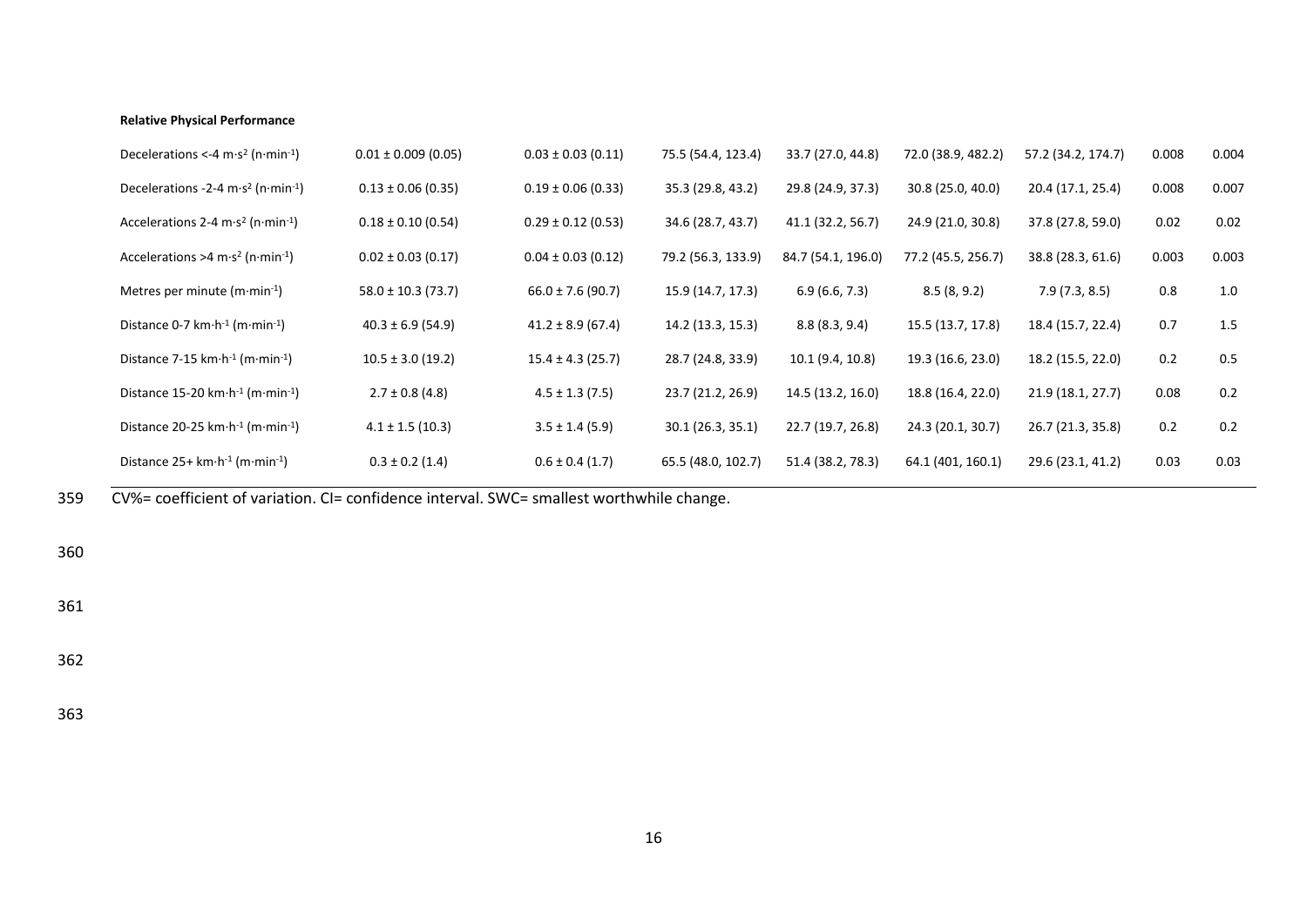#### **Relative Physical Performance**

| Decelerations <-4 m·s <sup>2</sup> (n·min <sup>-1</sup> )                | $0.01 \pm 0.009$ (0.05) | $0.03 \pm 0.03$ (0.11) | 75.5 (54.4, 123.4) | 33.7 (27.0, 44.8)  | 72.0 (38.9, 482.2) | 57.2 (34.2, 174.7) | 0.008 | 0.004 |
|--------------------------------------------------------------------------|-------------------------|------------------------|--------------------|--------------------|--------------------|--------------------|-------|-------|
| Decelerations -2-4 m·s <sup>2</sup> (n·min <sup>-1</sup> )               | $0.13 \pm 0.06$ (0.35)  | $0.19 \pm 0.06$ (0.33) | 35.3 (29.8, 43.2)  | 29.8 (24.9, 37.3)  | 30.8 (25.0, 40.0)  | 20.4 (17.1, 25.4)  | 0.008 | 0.007 |
| Accelerations 2-4 m·s <sup>2</sup> (n·min <sup>-1</sup> )                | $0.18 \pm 0.10$ (0.54)  | $0.29 \pm 0.12$ (0.53) | 34.6 (28.7, 43.7)  | 41.1 (32.2, 56.7)  | 24.9 (21.0, 30.8)  | 37.8 (27.8, 59.0)  | 0.02  | 0.02  |
| Accelerations >4 m·s <sup>2</sup> (n·min <sup>-1</sup> )                 | $0.02 \pm 0.03$ (0.17)  | $0.04 \pm 0.03$ (0.12) | 79.2 (56.3, 133.9) | 84.7 (54.1, 196.0) | 77.2 (45.5, 256.7) | 38.8 (28.3, 61.6)  | 0.003 | 0.003 |
| Metres per minute $(m \cdot min^{-1})$                                   | $58.0 \pm 10.3$ (73.7)  | $66.0 \pm 7.6$ (90.7)  | 15.9 (14.7, 17.3)  | 6.9(6.6, 7.3)      | 8.5(8, 9.2)        | 7.9(7.3, 8.5)      | 0.8   | 1.0   |
| Distance 0-7 km $\cdot$ h <sup>-1</sup> (m $\cdot$ min <sup>-1</sup> )   | $40.3 \pm 6.9$ (54.9)   | $41.2 \pm 8.9$ (67.4)  | 14.2 (13.3, 15.3)  | 8.8(8.3, 9.4)      | 15.5 (13.7, 17.8)  | 18.4 (15.7, 22.4)  | 0.7   | 1.5   |
| Distance 7-15 km $\cdot$ h <sup>-1</sup> (m $\cdot$ min <sup>-1</sup> )  | $10.5 \pm 3.0$ (19.2)   | $15.4 \pm 4.3$ (25.7)  | 28.7 (24.8, 33.9)  | 10.1 (9.4, 10.8)   | 19.3 (16.6, 23.0)  | 18.2 (15.5, 22.0)  | 0.2   | 0.5   |
| Distance 15-20 km $\cdot$ h <sup>-1</sup> (m $\cdot$ min <sup>-1</sup> ) | $2.7 \pm 0.8$ (4.8)     | $4.5 \pm 1.3$ (7.5)    | 23.7 (21.2, 26.9)  | 14.5 (13.2, 16.0)  | 18.8 (16.4, 22.0)  | 21.9 (18.1, 27.7)  | 0.08  | 0.2   |
| Distance 20-25 km $\cdot$ h <sup>-1</sup> (m $\cdot$ min <sup>-1</sup> ) | $4.1 \pm 1.5$ (10.3)    | $3.5 \pm 1.4$ (5.9)    | 30.1(26.3, 35.1)   | 22.7 (19.7, 26.8)  | 24.3 (20.1, 30.7)  | 26.7 (21.3, 35.8)  | 0.2   | 0.2   |
| Distance $25+ km \cdot h^{-1}$ (m $\cdot$ min $^{-1}$ )                  | $0.3 \pm 0.2$ (1.4)     | $0.6 \pm 0.4$ (1.7)    | 65.5 (48.0, 102.7) | 51.4 (38.2, 78.3)  | 64.1 (401, 160.1)  | 29.6 (23.1, 41.2)  | 0.03  | 0.03  |

359 CV%= coefficient of variation. CI= confidence interval. SWC= smallest worthwhile change.

360

361

362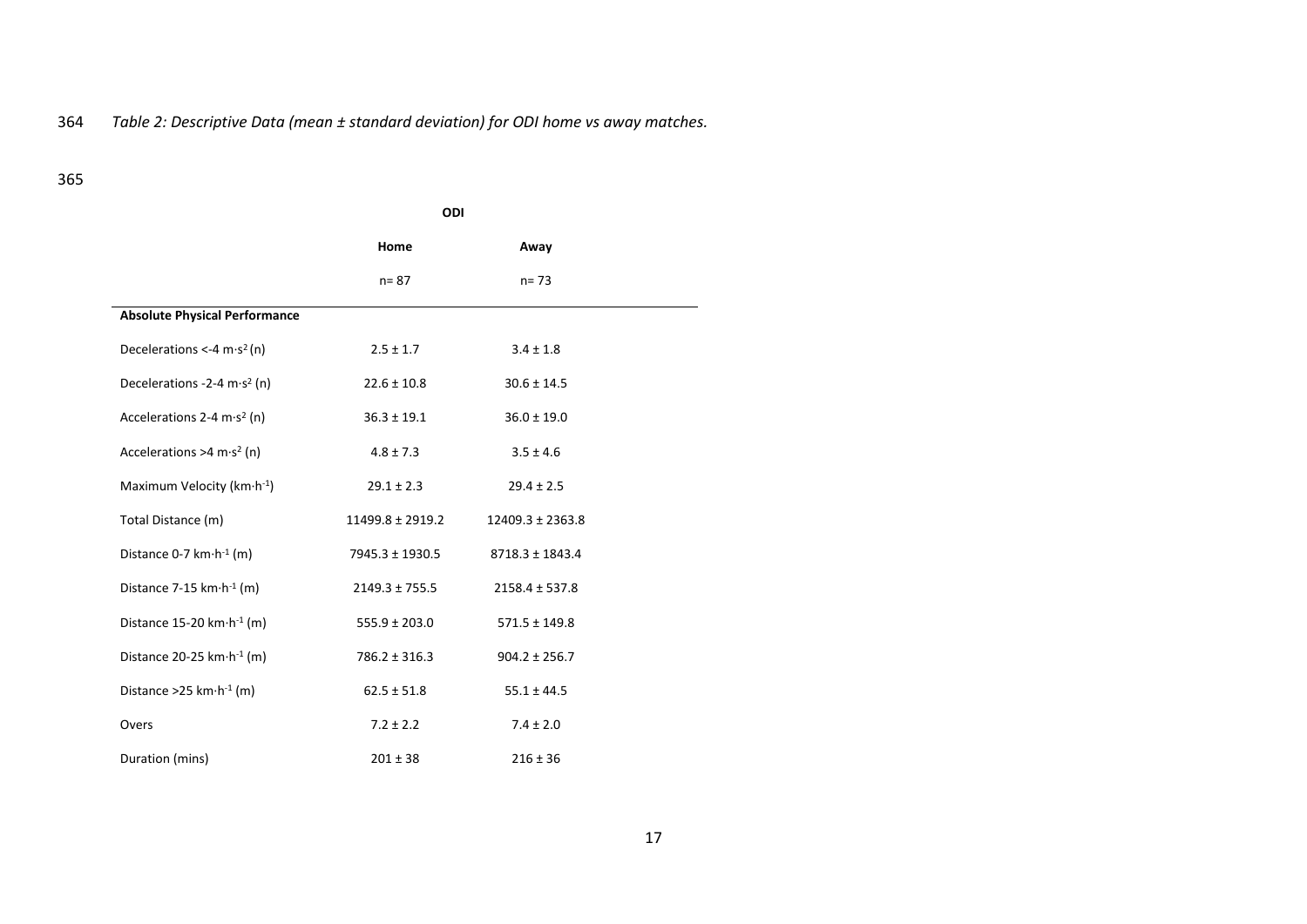# 364 *Table 2: Descriptive Data (mean ± standard deviation) for ODI home vs away matches.*

|                                                 | ODI                |                      |  |
|-------------------------------------------------|--------------------|----------------------|--|
|                                                 | Home               | Away                 |  |
|                                                 | $n = 87$           | $n = 73$             |  |
| <b>Absolute Physical Performance</b>            |                    |                      |  |
| Decelerations <-4 $m·s2$ (n)                    | $2.5 \pm 1.7$      | $3.4 \pm 1.8$        |  |
| Decelerations -2-4 m $\cdot$ s <sup>2</sup> (n) | $22.6 \pm 10.8$    | $30.6 \pm 14.5$      |  |
| Accelerations 2-4 m·s <sup>2</sup> (n)          | $36.3 \pm 19.1$    | $36.0 \pm 19.0$      |  |
| Accelerations >4 m·s <sup>2</sup> (n)           | $4.8 \pm 7.3$      | $3.5 \pm 4.6$        |  |
| Maximum Velocity ( $km \cdot h^{-1}$ )          | $29.1 \pm 2.3$     | $29.4 \pm 2.5$       |  |
| Total Distance (m)                              | 11499.8 ± 2919.2   | $12409.3 \pm 2363.8$ |  |
| Distance 0-7 $km \cdot h^{-1}$ (m)              | 7945.3 ± 1930.5    | $8718.3 \pm 1843.4$  |  |
| Distance 7-15 $km \cdot h^{-1}$ (m)             | $2149.3 \pm 755.5$ | $2158.4 \pm 537.8$   |  |
| Distance 15-20 km $\cdot$ h <sup>-1</sup> (m)   | $555.9 \pm 203.0$  | $571.5 \pm 149.8$    |  |
| Distance 20-25 km·h <sup>-1</sup> (m)           | $786.2 \pm 316.3$  | $904.2 \pm 256.7$    |  |
| Distance > 25 km $\cdot$ h <sup>-1</sup> (m)    | $62.5 \pm 51.8$    | $55.1 \pm 44.5$      |  |
| Overs                                           | $7.2 \pm 2.2$      | $7.4 \pm 2.0$        |  |
| Duration (mins)                                 | $201 \pm 38$       | $216 \pm 36$         |  |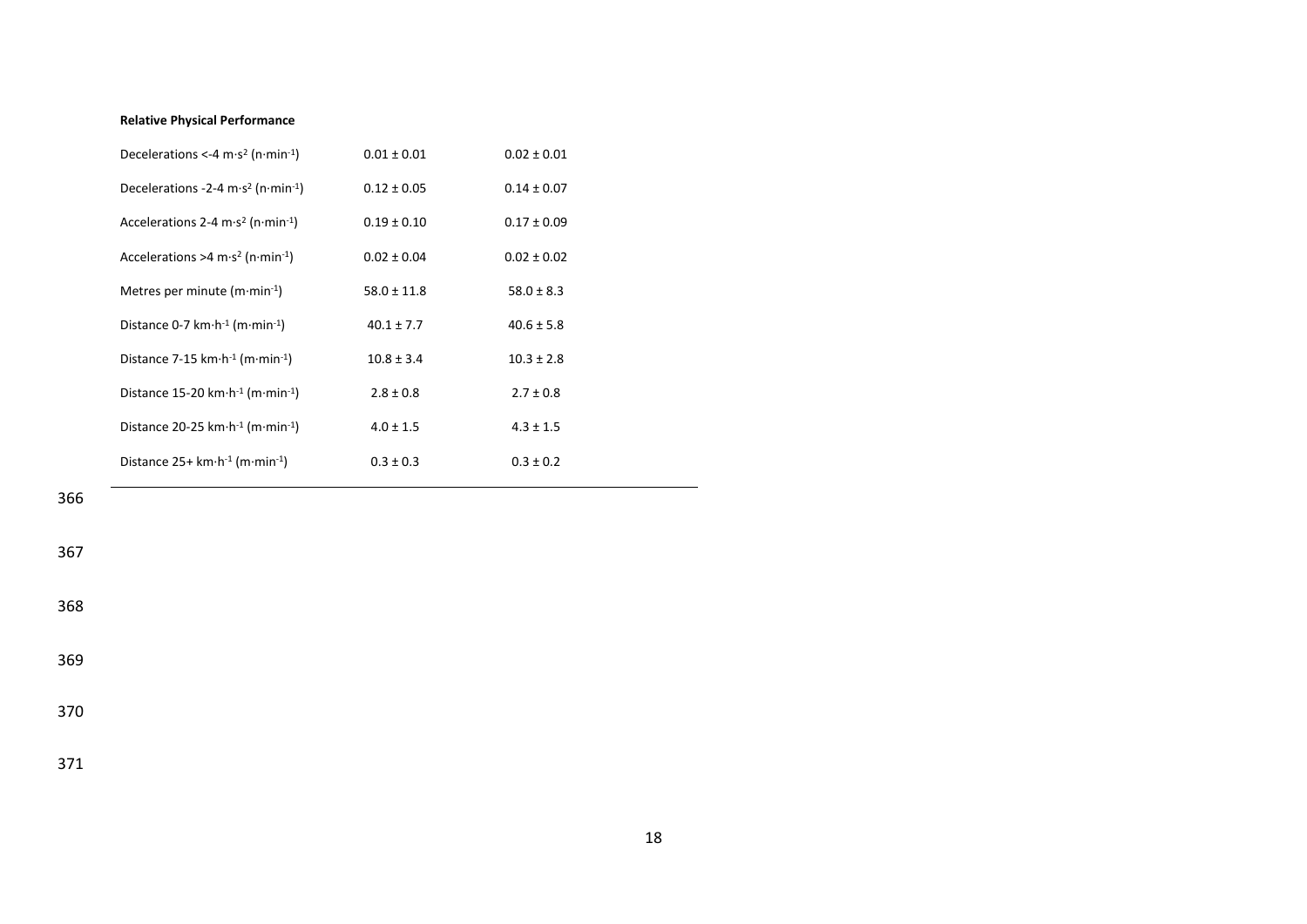#### **Relative Physical Performance**

| Decelerations <-4 $\text{m·s}^2$ (n·min <sup>-1</sup> )                  | $0.01 \pm 0.01$ | $0.02 \pm 0.01$ |
|--------------------------------------------------------------------------|-----------------|-----------------|
| Decelerations -2-4 m·s <sup>2</sup> (n·min <sup>-1</sup> )               | $0.12 \pm 0.05$ | $0.14 \pm 0.07$ |
| Accelerations 2-4 m·s <sup>2</sup> (n·min <sup>-1</sup> )                | $0.19 \pm 0.10$ | $0.17 \pm 0.09$ |
| Accelerations >4 m·s <sup>2</sup> (n·min <sup>-1</sup> )                 | $0.02 \pm 0.04$ | $0.02 \pm 0.02$ |
| Metres per minute $(m \cdot min^{-1})$                                   | $58.0 \pm 11.8$ | $58.0 \pm 8.3$  |
| Distance 0-7 km $\cdot$ h <sup>-1</sup> (m $\cdot$ min <sup>-1</sup> )   | $40.1 \pm 7.7$  | $40.6 \pm 5.8$  |
| Distance 7-15 km $\cdot$ h <sup>-1</sup> (m $\cdot$ min <sup>-1</sup> )  | $10.8 \pm 3.4$  | $10.3 \pm 2.8$  |
| Distance 15-20 km $\cdot$ h <sup>-1</sup> (m $\cdot$ min <sup>-1</sup> ) | $2.8 \pm 0.8$   | $2.7 \pm 0.8$   |
| Distance 20-25 km $\cdot$ h <sup>-1</sup> (m $\cdot$ min <sup>-1</sup> ) | $4.0 \pm 1.5$   | $4.3 \pm 1.5$   |
| Distance $25+$ km $\cdot$ h <sup>-1</sup> (m $\cdot$ min <sup>-1</sup> ) | $0.3 \pm 0.3$   | $0.3 \pm 0.2$   |

366

367

368

369

370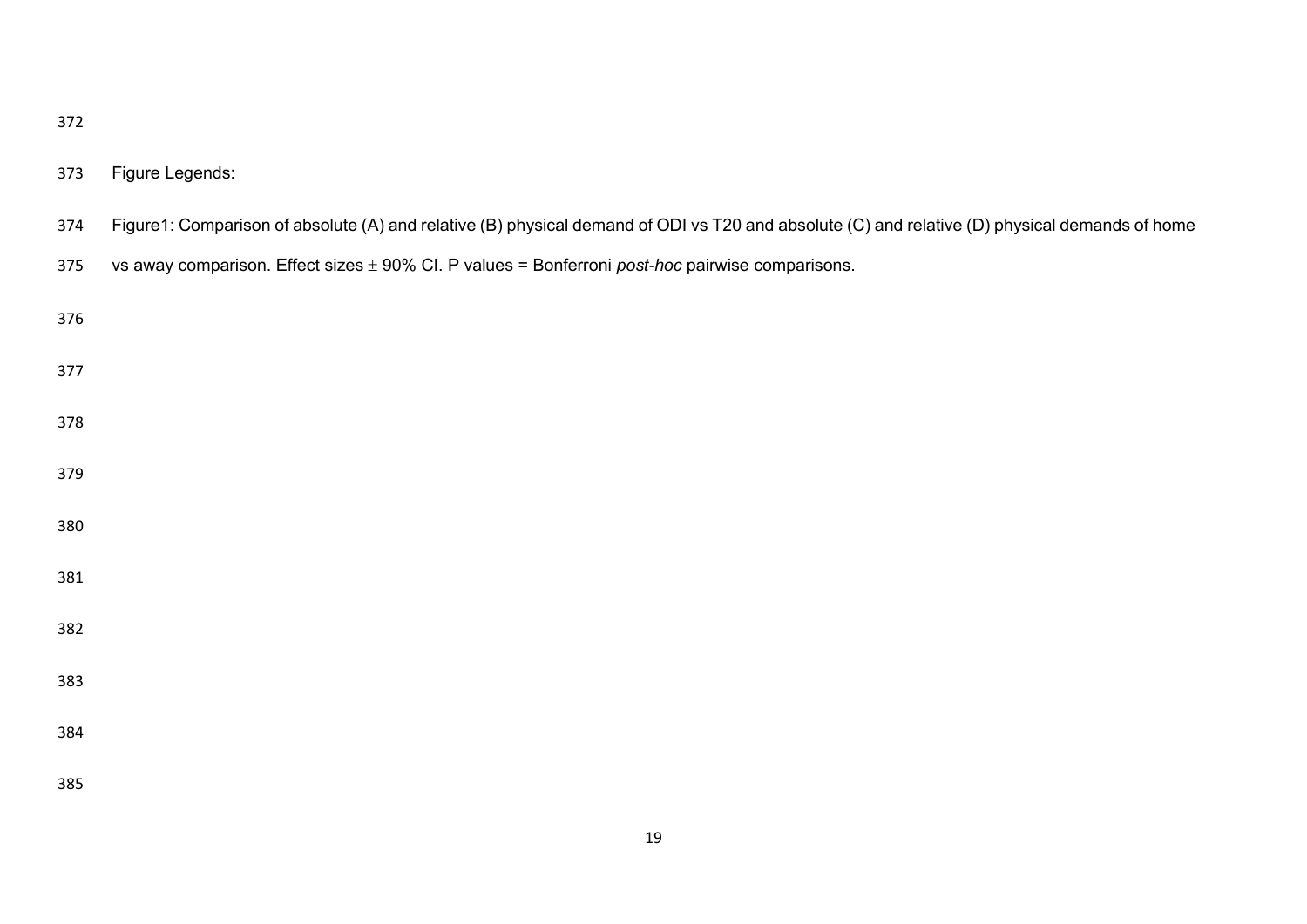| <br>I<br>×<br>۰. |  | . .<br> |
|------------------|--|---------|
|------------------|--|---------|

# Figure Legends:

| 374 Figure1: Comparison of absolute (A) and relative (B) physical demand of ODI vs T20 and absolute (C) and relative (D) physical demands of home |
|---------------------------------------------------------------------------------------------------------------------------------------------------|
|                                                                                                                                                   |

vs away comparison. Effect sizes 90% CI. P values = Bonferroni *post-hoc* pairwise comparisons.

| 376 |  |  |  |
|-----|--|--|--|
| 377 |  |  |  |
| 378 |  |  |  |
| 379 |  |  |  |
| 380 |  |  |  |
| 381 |  |  |  |
| 382 |  |  |  |
| 383 |  |  |  |
| 384 |  |  |  |
| 385 |  |  |  |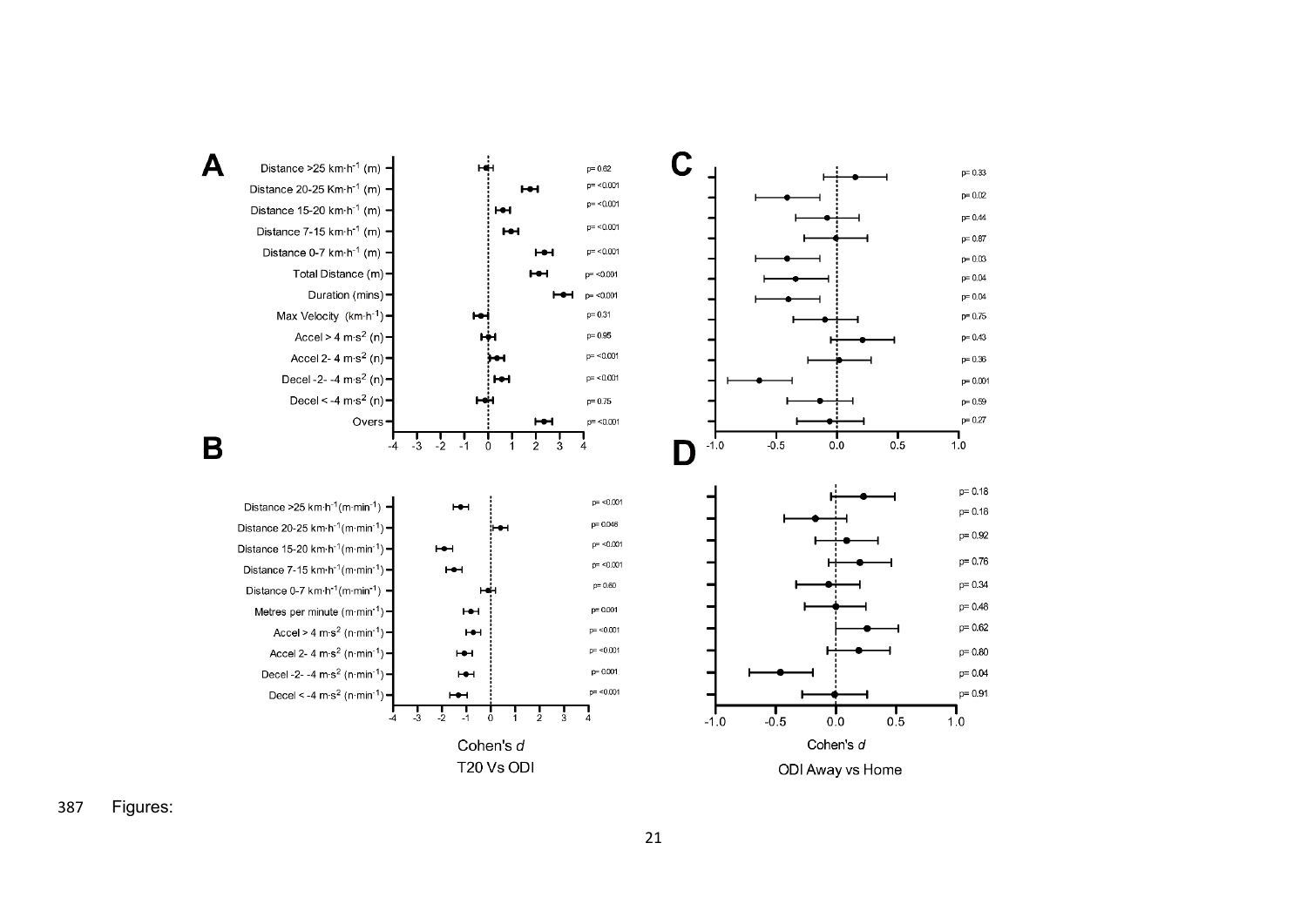

Figures :